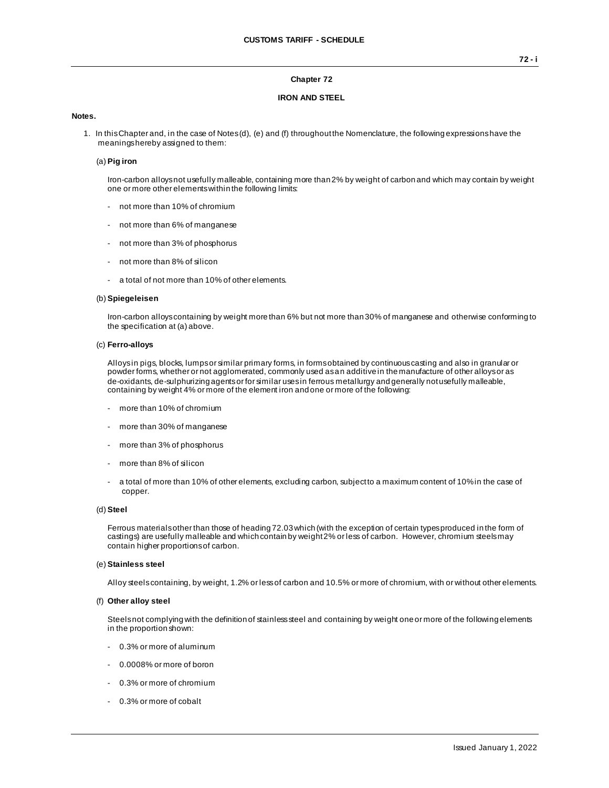## **Chapter 72**

## **IRON AND STEEL**

## **Notes.**

1. In this Chapter and, in the case of Notes (d), (e) and (f) throughout the Nomenclature, the following expressions have the meanings hereby assigned to them:

## (a) **Pig iron**

Iron-carbon alloys not usefully malleable, containing more than 2% by weight of carbon and which may contain by weight one or more other elements within the following limits:

- not more than 10% of chromium
- not more than 6% of manganese
- not more than 3% of phosphorus
- not more than 8% of silicon
- a total of not more than 10% of other elements.

#### (b) **Spiegeleisen**

Iron-carbon alloys containing by weight more than 6% but not more than 30% of manganese and otherwise conforming to the specification at (a) above.

## (c) **Ferro-alloys**

Alloys in pigs, blocks, lumps or similar primary forms, in forms obtained by continuous casting and also in granular or powder forms, whether or not agglomerated, commonly used as an additive in the manufacture of other alloys or as de-oxidants, de-sulphurizing agents or for similar uses in ferrous metallurgy and generally not usefully malleable, containing by weight 4% or more of the element iron and one or more of the following:

- more than 10% of chromium
- more than 30% of manganese
- more than 3% of phosphorus
- more than 8% of silicon
- a total of more than 10% of other elements, excluding carbon, subject to a maximum content of 10% in the case of copper.

## (d) **Steel**

Ferrous materials other than those of heading 72.03 which (with the exception of certain types produced in the form of castings) are usefully malleable and which contain by weight 2% or less of carbon. However, chromium steels may contain higher proportions of carbon.

## (e) **Stainless steel**

Alloy steels containing, by weight, 1.2% or less of carbon and 10.5% or more of chromium, with or without other elements.

#### (f) **Other alloy steel**

Steels not complying with the definition of stainless steel and containing by weight one or more of the following elements in the proportion shown:

- 0.3% or more of aluminum
- 0.0008% or more of boron
- 0.3% or more of chromium
- 0.3% or more of cobalt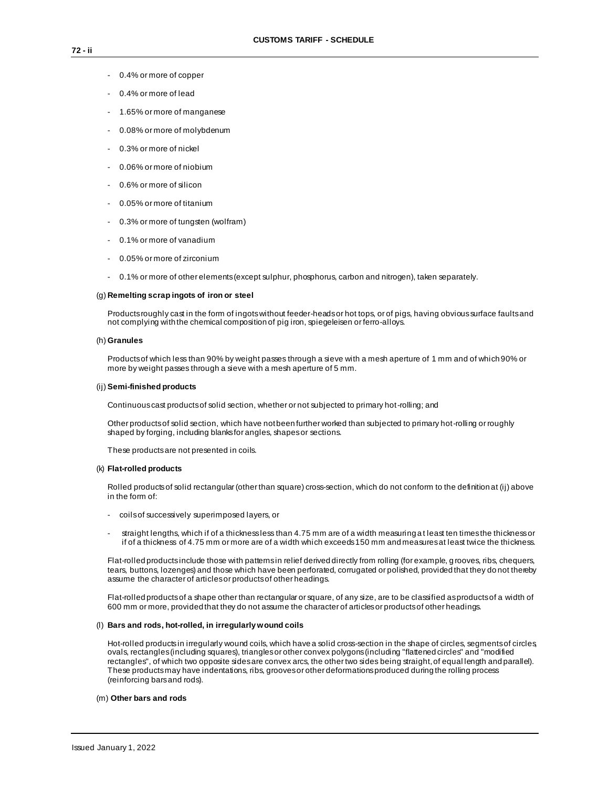- 0.4% or more of copper
- 0.4% or more of lead
- 1.65% or more of manganese
- 0.08% or more of molybdenum
- 0.3% or more of nickel
- 0.06% or more of niobium
- 0.6% or more of silicon
- 0.05% or more of titanium
- 0.3% or more of tungsten (wolfram)
- 0.1% or more of vanadium
- 0.05% or more of zirconium
- 0.1% or more of other elements (except sulphur, phosphorus, carbon and nitrogen), taken separately.

#### (g) **Remelting scrap ingots of iron or steel**

Products roughly cast in the form of ingots without feeder-heads or hot tops, or of pigs, having obvious surface faults and not complying with the chemical composition of pig iron, spiegeleisen or ferro-alloys.

## (h) **Granules**

Products of which less than 90% by weight passes through a sieve with a mesh aperture of 1 mm and of which 90% or more by weight passes through a sieve with a mesh aperture of 5 mm.

#### (ij) **Semi-finished products**

Continuous cast products of solid section, whether or not subjected to primary hot-rolling; and

Other products of solid section, which have not been further worked than subjected to primary hot-rolling or roughly shaped by forging, including blanks for angles, shapes or sections.

These products are not presented in coils.

#### (k) **Flat-rolled products**

Rolled products of solid rectangular (other than square) cross-section, which do not conform to the definition at (ij) above in the form of:

- coils of successively superimposed layers, or
- straight lengths, which if of a thickness less than 4.75 mm are of a width measuring at least ten times the thickness or if of a thickness of 4.75 mm or more are of a width which exceeds 150 mm and measures at least twice the thickness.

Flat-rolled products include those with patterns in relief derived directly from rolling (for example, g rooves, ribs, chequers, tears, buttons, lozenges) and those which have been perforated, corrugated or polished, provided that they do not thereby assume the character of articles or products of other headings.

Flat-rolled products of a shape other than rectangular or square, of any size, are to be classified as products of a width of 600 mm or more, provided that they do not assume the character of articles or products of other headings.

#### (l) **Bars and rods, hot-rolled, in irregularly wound coils**

Hot-rolled products in irregularly wound coils, which have a solid cross-section in the shape of circles, segments of circles, ovals, rectangles (including squares), triangles or other convex polygons (including "flattened circles" and "modified rectangles", of which two opposite sides are convex arcs, the other two sides being straight, of equal length and parallel). These products may have indentations, ribs, grooves or other deformations produced during the rolling process (reinforcing bars and rods).

#### (m) **Other bars and rods**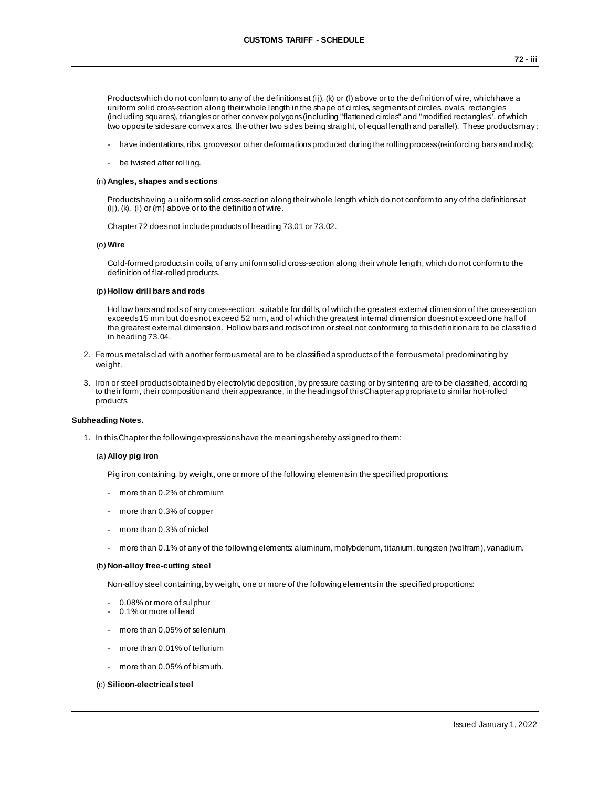Products which do not conform to any of the definitions at (ij), (k) or (l) above or to the definition of wire, which have a uniform solid cross-section along their whole length in the shape of circles, segments of circles, ovals, rectangles (including squares), triangles or other convex polygons (including "flattened circles" and "modified rectangles", of which two opposite sides are convex arcs, the other two sides being straight, of equal length and parallel). These products may :

- have indentations, ribs, grooves or other deformations produced during the rolling process (reinforcing bars and rods);
- be twisted after rolling.

### (n) **Angles, shapes and sections**

Products having a uniform solid cross-section along their whole length which do not conform to any of the definitions at (ij), (k), (l) or (m) above or to the definition of wire.

Chapter 72 does not include products of heading 73.01 or 73.02.

## (o) **Wire**

Cold-formed products in coils, of any uniform solid cross-section along their whole length, which do not conform to the definition of flat-rolled products.

### (p) **Hollow drill bars and rods**

Hollow bars and rods of any cross-section, suitable for drills, of which the greatest external dimension of the cross-section exceeds 15 mm but does not exceed 52 mm, and of which the greatest internal dimension does not exceed one half of the greatest external dimension. Hollow bars and rods of iron or steel not conforming to this definition are to be classifie d in heading 73.04.

- 2. Ferrous metals clad with another ferrous metal are to be classified as products of the ferrous metal predominating by weight.
- 3. Iron or steel products obtained by electrolytic deposition, by pressure casting or by sintering are to be classified, according to their form, their composition and their appearance, in the headings of this Chapter ap propriate to similar hot-rolled products.

## **Subheading Notes.**

1. In this Chapter the following expressions have the meanings hereby assigned to them:

### (a) **Alloy pig iron**

Pig iron containing, by weight, one or more of the following elements in the specified proportions:

- more than 0.2% of chromium
- more than 0.3% of copper
- more than 0.3% of nickel
- more than 0.1% of any of the following elements: aluminum, molybdenum, titanium, tungsten (wolfram), vanadium.

## (b) **Non-alloy free-cutting steel**

Non-alloy steel containing, by weight, one or more of the following elements in the specified proportions:

- 0.08% or more of sulphur
- 0.1% or more of lead
- more than 0.05% of selenium
- more than 0.01% of tellurium
- more than 0.05% of bismuth.

### (c) **Silicon-electrical steel**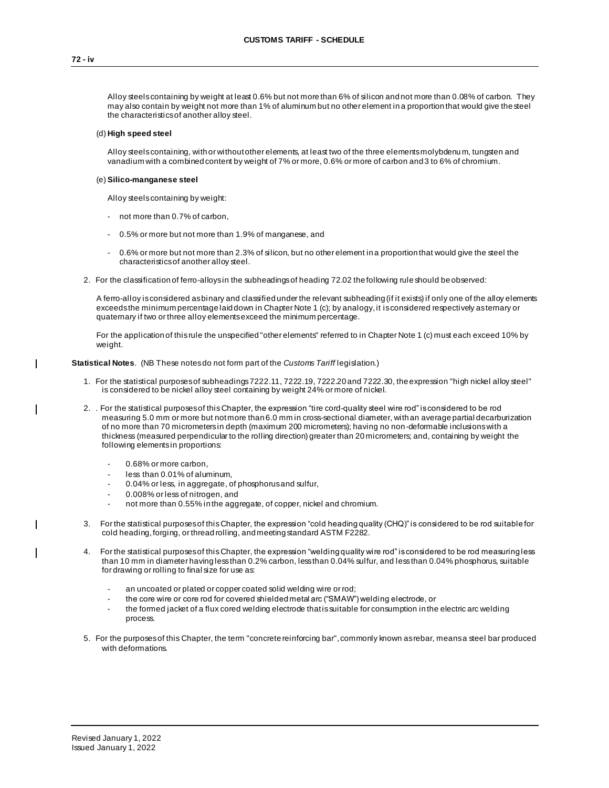Alloy steels containing by weight at least 0.6% but not more than 6% of silicon and not more than 0.08% of carbon. They may also contain by weight not more than 1% of aluminum but no other element in a proportion that would give the steel the characteristics of another alloy steel.

### (d) **High speed steel**

Alloy steels containing, with or without other elements, at least two of the three elements molybdenu m, tungsten and vanadium with a combined content by weight of 7% or more, 0.6% or more of carbon and 3 to 6% of chromium.

## (e) **Silico-manganese steel**

Alloy steels containing by weight:

- not more than 0.7% of carbon,
- 0.5% or more but not more than 1.9% of manganese, and
- 0.6% or more but not more than 2.3% of silicon, but no other element in a proportion that would give the steel the characteristics of another alloy steel.
- 2. For the classification of ferro-alloys in the subheadings of heading 72.02 the following rule should be observed:

A ferro-alloy is considered as binary and classified under the relevant subheading (if it exists) if only one of the alloy elements exceeds the minimum percentage laid down in Chapter Note 1 (c); by analogy, it is considered respectively as ternary or quaternary if two or three alloy elements exceed the minimum percentage.

For the application of this rule the unspecified "other elements" referred to in Chapter Note 1 (c) must each exceed 10% by weight.

## **Statistical Notes**. (NB These notesdo not form part of the *Customs Tariff* legislation.)

- 1. For the statistical purposes of subheadings 7222.11, 7222.19, 7222.20 and 7222.30, the expression "high nickel alloy steel" is considered to be nickel alloy steel containing by weight 24% or more of nickel.
- 2. . For the statistical purposes of this Chapter, the expression "tire cord-quality steel wire rod" is considered to be rod measuring 5.0 mm or more but not more than 6.0 mm in cross-sectional diameter, with an average partial decarburization of no more than 70 micrometers in depth (maximum 200 micrometers); having no non -deformable inclusions with a thickness (measured perpendicular to the rolling direction) greater than 20 micrometers; and, containing by weight the following elements in proportions:
	- 0.68% or more carbon,
	- less than 0.01% of aluminum,
	- 0.04% or less, in aggregate, of phosphorus and sulfur,
	- 0.008% or less of nitrogen, and
	- not more than 0.55% in the aggregate, of copper, nickel and chromium.
- 3. For the statistical purposes of this Chapter, the expression "cold heading quality (CHQ)" is considered to be rod suitable for cold heading, forging, or thread rolling, and meeting standard ASTM F2282.
- 4. For the statistical purposes of this Chapter, the expression "welding quality wire rod" is considered to be rod measuring less than 10 mm in diameter having less than 0.2% carbon, less than 0.04% sulfur, and less than 0.04% phosphorus, suitable for drawing or rolling to final size for use as:
	- an uncoated or plated or copper coated solid welding wire or rod;
	- the core wire or core rod for covered shielded metal arc ("SMAW") welding electrode, or
	- the formed jacket of a flux cored welding electrode that is suitable for consumption in the electric arc welding process.
- 5. For the purposes of this Chapter, the term "concrete reinforcing bar", commonly known as rebar, means a steel bar produced with deformations.

 $\mathbf{I}$ 

 $\overline{\phantom{a}}$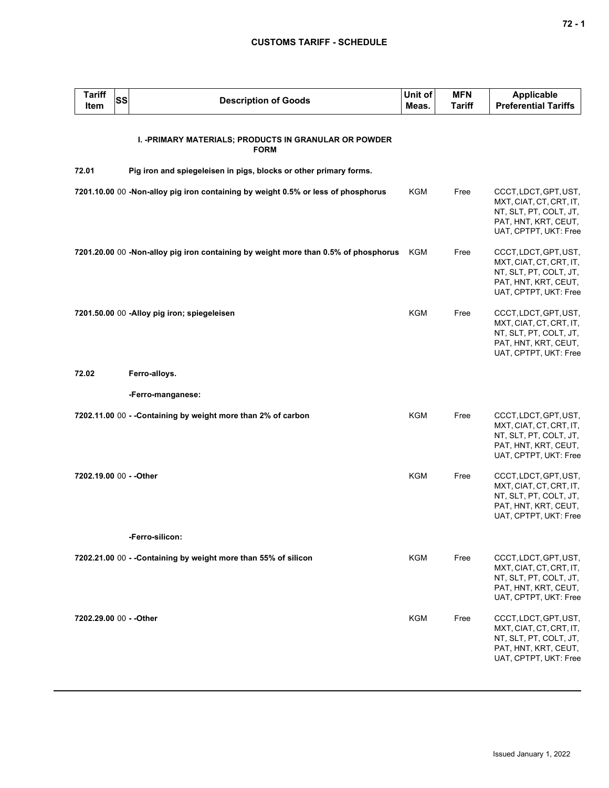| <b>Tariff</b><br><b>Item</b> | SS | <b>Description of Goods</b>                                                         | Unit of<br>Meas. | <b>MFN</b><br><b>Tariff</b> | <b>Applicable</b><br><b>Preferential Tariffs</b>                                                                            |
|------------------------------|----|-------------------------------------------------------------------------------------|------------------|-----------------------------|-----------------------------------------------------------------------------------------------------------------------------|
|                              |    | I. - PRIMARY MATERIALS; PRODUCTS IN GRANULAR OR POWDER<br><b>FORM</b>               |                  |                             |                                                                                                                             |
| 72.01                        |    | Pig iron and spiegeleisen in pigs, blocks or other primary forms.                   |                  |                             |                                                                                                                             |
|                              |    | 7201.10.00 00 -Non-alloy pig iron containing by weight 0.5% or less of phosphorus   | KGM              | Free                        | CCCT, LDCT, GPT, UST,<br>MXT, CIAT, CT, CRT, IT,<br>NT, SLT, PT, COLT, JT,<br>PAT, HNT, KRT, CEUT,<br>UAT, CPTPT, UKT: Free |
|                              |    | 7201.20.00 00 -Non-alloy pig iron containing by weight more than 0.5% of phosphorus | KGM              | Free                        | CCCT, LDCT, GPT, UST,<br>MXT, CIAT, CT, CRT, IT,<br>NT, SLT, PT, COLT, JT,<br>PAT, HNT, KRT, CEUT,<br>UAT, CPTPT, UKT: Free |
|                              |    | 7201.50.00 00 -Alloy pig iron; spiegeleisen                                         | <b>KGM</b>       | Free                        | CCCT, LDCT, GPT, UST,<br>MXT, CIAT, CT, CRT, IT,<br>NT, SLT, PT, COLT, JT,<br>PAT, HNT, KRT, CEUT,<br>UAT, CPTPT, UKT: Free |
| 72.02                        |    | Ferro-alloys.                                                                       |                  |                             |                                                                                                                             |
|                              |    | -Ferro-manganese:                                                                   |                  |                             |                                                                                                                             |
|                              |    | 7202.11.00 00 - - Containing by weight more than 2% of carbon                       | <b>KGM</b>       | Free                        | CCCT, LDCT, GPT, UST,<br>MXT, CIAT, CT, CRT, IT,<br>NT, SLT, PT, COLT, JT,<br>PAT, HNT, KRT, CEUT,<br>UAT, CPTPT, UKT: Free |
| 7202.19.00 00 - - Other      |    |                                                                                     | <b>KGM</b>       | Free                        | CCCT, LDCT, GPT, UST,<br>MXT, CIAT, CT, CRT, IT,<br>NT, SLT, PT, COLT, JT,<br>PAT, HNT, KRT, CEUT,<br>UAT, CPTPT, UKT: Free |
|                              |    | -Ferro-silicon:                                                                     |                  |                             |                                                                                                                             |
|                              |    | 7202.21.00 00 - - Containing by weight more than 55% of silicon                     | KGM              | Free                        | CCCT, LDCT, GPT, UST,<br>MXT, CIAT, CT, CRT, IT,<br>NT, SLT, PT, COLT, JT,<br>PAT, HNT, KRT, CEUT,<br>UAT, CPTPT, UKT: Free |
| 7202.29.00 00 - - Other      |    |                                                                                     | <b>KGM</b>       | Free                        | CCCT, LDCT, GPT, UST,<br>MXT, CIAT, CT, CRT, IT,<br>NT, SLT, PT, COLT, JT,<br>PAT, HNT, KRT, CEUT,<br>UAT, CPTPT, UKT: Free |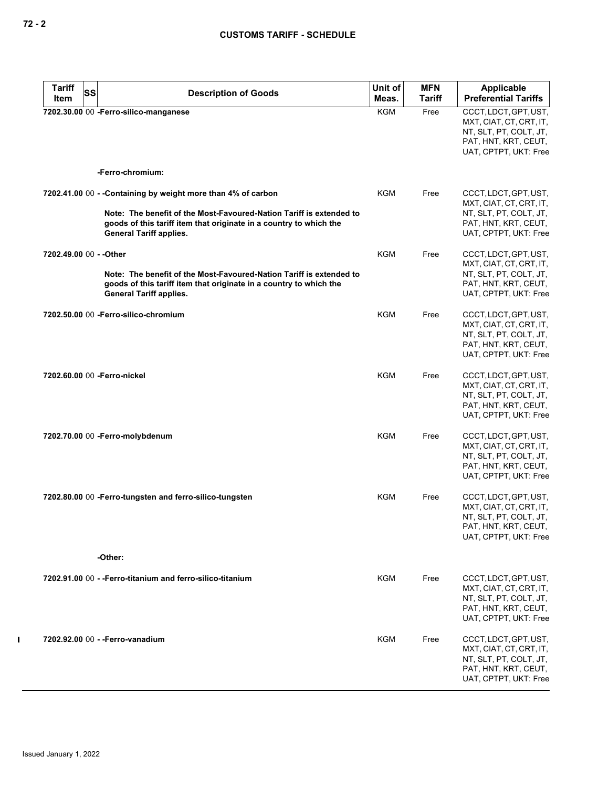| <b>Tariff</b> | SS<br><b>Description of Goods</b>                                                                                                                                           | Unit of    | <b>MFN</b>    | <b>Applicable</b>                                                                                                           |
|---------------|-----------------------------------------------------------------------------------------------------------------------------------------------------------------------------|------------|---------------|-----------------------------------------------------------------------------------------------------------------------------|
| Item          |                                                                                                                                                                             | Meas.      | <b>Tariff</b> | <b>Preferential Tariffs</b>                                                                                                 |
|               | 7202.30.00 00 -Ferro-silico-manganese                                                                                                                                       | <b>KGM</b> | Free          | CCCT, LDCT, GPT, UST,<br>MXT, CIAT, CT, CRT, IT,<br>NT, SLT, PT, COLT, JT,<br>PAT, HNT, KRT, CEUT,<br>UAT, CPTPT, UKT: Free |
|               | -Ferro-chromium:                                                                                                                                                            |            |               |                                                                                                                             |
|               | 7202.41.00 00 - - Containing by weight more than 4% of carbon                                                                                                               | KGM        | Free          | CCCT, LDCT, GPT, UST,<br>MXT, CIAT, CT, CRT, IT,                                                                            |
|               | Note: The benefit of the Most-Favoured-Nation Tariff is extended to<br>goods of this tariff item that originate in a country to which the<br><b>General Tariff applies.</b> |            |               | NT, SLT, PT, COLT, JT,<br>PAT, HNT, KRT, CEUT,<br>UAT, CPTPT, UKT: Free                                                     |
|               | 7202.49.00 00 - - Other                                                                                                                                                     | KGM        | Free          | CCCT, LDCT, GPT, UST,<br>MXT, CIAT, CT, CRT, IT,                                                                            |
|               | Note: The benefit of the Most-Favoured-Nation Tariff is extended to<br>goods of this tariff item that originate in a country to which the<br><b>General Tariff applies.</b> |            |               | NT, SLT, PT, COLT, JT,<br>PAT, HNT, KRT, CEUT,<br>UAT, CPTPT, UKT: Free                                                     |
|               | 7202.50.00 00 - Ferro-silico-chromium                                                                                                                                       | <b>KGM</b> | Free          | CCCT, LDCT, GPT, UST,<br>MXT, CIAT, CT, CRT, IT,<br>NT, SLT, PT, COLT, JT,<br>PAT, HNT, KRT, CEUT,<br>UAT, CPTPT, UKT: Free |
|               | 7202.60.00 00 - Ferro-nickel                                                                                                                                                | <b>KGM</b> | Free          | CCCT, LDCT, GPT, UST,<br>MXT, CIAT, CT, CRT, IT,<br>NT, SLT, PT, COLT, JT,<br>PAT, HNT, KRT, CEUT,<br>UAT, CPTPT, UKT: Free |
|               | 7202.70.00 00 - Ferro-molybdenum                                                                                                                                            | <b>KGM</b> | Free          | CCCT, LDCT, GPT, UST,<br>MXT, CIAT, CT, CRT, IT,<br>NT, SLT, PT, COLT, JT,<br>PAT, HNT, KRT, CEUT,<br>UAT, CPTPT, UKT: Free |
|               | 7202.80.00 00 - Ferro-tungsten and ferro-silico-tungsten                                                                                                                    | KGM        | Free          | CCCT, LDCT, GPT, UST,<br>MXT, CIAT, CT, CRT, IT,<br>NT, SLT, PT, COLT, JT,<br>PAT, HNT, KRT, CEUT,<br>UAT, CPTPT, UKT: Free |
|               | -Other:                                                                                                                                                                     |            |               |                                                                                                                             |
|               | 7202.91.00 00 - - Ferro-titanium and ferro-silico-titanium                                                                                                                  | KGM        | Free          | CCCT, LDCT, GPT, UST,<br>MXT, CIAT, CT, CRT, IT,<br>NT, SLT, PT, COLT, JT,<br>PAT, HNT, KRT, CEUT,<br>UAT, CPTPT, UKT: Free |
|               | 7202.92.00 00 - - Ferro-vanadium                                                                                                                                            | KGM        | Free          | CCCT, LDCT, GPT, UST,<br>MXT, CIAT, CT, CRT, IT,<br>NT, SLT, PT, COLT, JT,<br>PAT, HNT, KRT, CEUT,<br>UAT, CPTPT, UKT: Free |

 $\mathbf{I}$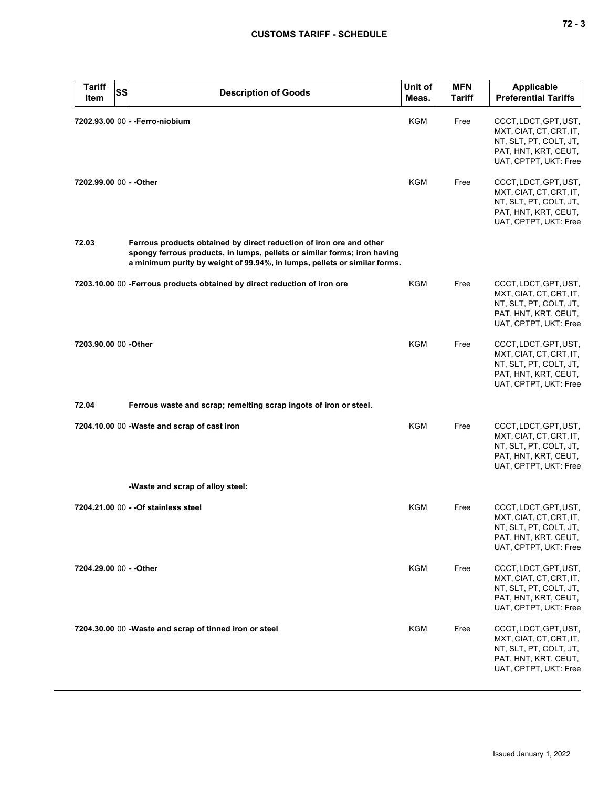| <b>Tariff</b><br>Item   | <b>SS</b><br><b>Description of Goods</b>                                                                                                                                                                                     | Unit of<br>Meas. | <b>MFN</b><br><b>Tariff</b> | <b>Applicable</b><br><b>Preferential Tariffs</b>                                                                            |
|-------------------------|------------------------------------------------------------------------------------------------------------------------------------------------------------------------------------------------------------------------------|------------------|-----------------------------|-----------------------------------------------------------------------------------------------------------------------------|
|                         | 7202.93.00 00 - - Ferro-niobium                                                                                                                                                                                              | KGM              | Free                        | CCCT, LDCT, GPT, UST,<br>MXT, CIAT, CT, CRT, IT,<br>NT, SLT, PT, COLT, JT,<br>PAT, HNT, KRT, CEUT,<br>UAT, CPTPT, UKT: Free |
| 7202.99.00 00 - - Other |                                                                                                                                                                                                                              | KGM              | Free                        | CCCT, LDCT, GPT, UST,<br>MXT, CIAT, CT, CRT, IT,<br>NT, SLT, PT, COLT, JT,<br>PAT, HNT, KRT, CEUT,<br>UAT, CPTPT, UKT: Free |
| 72.03                   | Ferrous products obtained by direct reduction of iron ore and other<br>spongy ferrous products, in lumps, pellets or similar forms; iron having<br>a minimum purity by weight of 99.94%, in lumps, pellets or similar forms. |                  |                             |                                                                                                                             |
|                         | 7203.10.00 00 -Ferrous products obtained by direct reduction of iron ore                                                                                                                                                     | <b>KGM</b>       | Free                        | CCCT, LDCT, GPT, UST,<br>MXT, CIAT, CT, CRT, IT,<br>NT, SLT, PT, COLT, JT,<br>PAT, HNT, KRT, CEUT,<br>UAT, CPTPT, UKT: Free |
| 7203.90.00 00 - Other   |                                                                                                                                                                                                                              | <b>KGM</b>       | Free                        | CCCT, LDCT, GPT, UST,<br>MXT, CIAT, CT, CRT, IT,<br>NT, SLT, PT, COLT, JT,<br>PAT, HNT, KRT, CEUT,<br>UAT, CPTPT, UKT: Free |
| 72.04                   | Ferrous waste and scrap; remelting scrap ingots of iron or steel.                                                                                                                                                            |                  |                             |                                                                                                                             |
|                         | 7204.10.00 00 - Waste and scrap of cast iron                                                                                                                                                                                 | <b>KGM</b>       | Free                        | CCCT, LDCT, GPT, UST,<br>MXT, CIAT, CT, CRT, IT,<br>NT, SLT, PT, COLT, JT,<br>PAT, HNT, KRT, CEUT,<br>UAT, CPTPT, UKT: Free |
|                         | -Waste and scrap of alloy steel:                                                                                                                                                                                             |                  |                             |                                                                                                                             |
|                         | 7204.21.00 00 - - Of stainless steel                                                                                                                                                                                         | KGM              | Free                        | CCCT, LDCT, GPT, UST,<br>MXT, CIAT, CT, CRT, IT,<br>NT, SLT, PT, COLT, JT,<br>PAT, HNT, KRT, CEUT,<br>UAT, CPTPT, UKT: Free |
| 7204.29.00 00 - - Other |                                                                                                                                                                                                                              | <b>KGM</b>       | Free                        | CCCT, LDCT, GPT, UST,<br>MXT, CIAT, CT, CRT, IT,<br>NT, SLT, PT, COLT, JT,<br>PAT, HNT, KRT, CEUT,<br>UAT, CPTPT, UKT: Free |
|                         | 7204.30.00 00 - Waste and scrap of tinned iron or steel                                                                                                                                                                      | KGM              | Free                        | CCCT, LDCT, GPT, UST,<br>MXT, CIAT, CT, CRT, IT,<br>NT, SLT, PT, COLT, JT,<br>PAT, HNT, KRT, CEUT,<br>UAT, CPTPT, UKT: Free |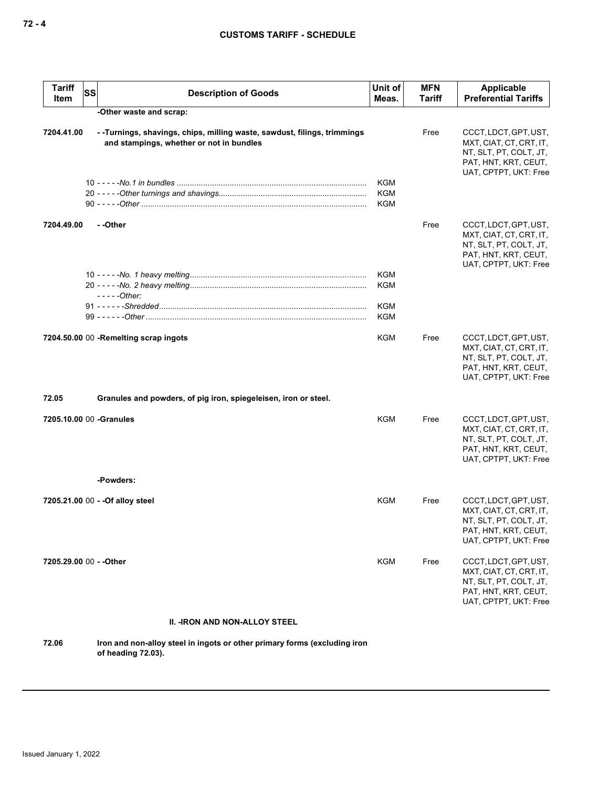| Tariff<br>Item           | <b>SS</b> | <b>Description of Goods</b>                                                                                         | Unit of<br>Meas.                       | <b>MFN</b><br><b>Tariff</b> | Applicable<br><b>Preferential Tariffs</b>                                                                                   |
|--------------------------|-----------|---------------------------------------------------------------------------------------------------------------------|----------------------------------------|-----------------------------|-----------------------------------------------------------------------------------------------------------------------------|
|                          |           | -Other waste and scrap:                                                                                             |                                        |                             |                                                                                                                             |
| 7204.41.00               |           | --Turnings, shavings, chips, milling waste, sawdust, filings, trimmings<br>and stampings, whether or not in bundles |                                        | Free                        | CCCT, LDCT, GPT, UST,<br>MXT, CIAT, CT, CRT, IT,<br>NT, SLT, PT, COLT, JT,<br>PAT, HNT, KRT, CEUT,<br>UAT, CPTPT, UKT: Free |
|                          |           |                                                                                                                     | <b>KGM</b><br><b>KGM</b><br><b>KGM</b> |                             |                                                                                                                             |
| 7204.49.00               |           | - -Other                                                                                                            |                                        | Free                        | CCCT, LDCT, GPT, UST,<br>MXT, CIAT, CT, CRT, IT,<br>NT, SLT, PT, COLT, JT,<br>PAT, HNT, KRT, CEUT,<br>UAT, CPTPT, UKT: Free |
|                          |           | $---Other:$                                                                                                         | <b>KGM</b><br><b>KGM</b>               |                             |                                                                                                                             |
|                          |           |                                                                                                                     | <b>KGM</b><br><b>KGM</b>               |                             |                                                                                                                             |
|                          |           | 7204.50.00 00 -Remelting scrap ingots                                                                               | KGM                                    | Free                        | CCCT, LDCT, GPT, UST,<br>MXT, CIAT, CT, CRT, IT,<br>NT, SLT, PT, COLT, JT,<br>PAT, HNT, KRT, CEUT,<br>UAT, CPTPT, UKT: Free |
| 72.05                    |           | Granules and powders, of pig iron, spiegeleisen, iron or steel.                                                     |                                        |                             |                                                                                                                             |
| 7205.10.00 00 - Granules |           |                                                                                                                     | <b>KGM</b>                             | Free                        | CCCT, LDCT, GPT, UST,<br>MXT, CIAT, CT, CRT, IT,<br>NT, SLT, PT, COLT, JT,<br>PAT, HNT, KRT, CEUT,<br>UAT, CPTPT, UKT: Free |
|                          |           | -Powders:                                                                                                           |                                        |                             |                                                                                                                             |
|                          |           | 7205.21.00 00 - - Of alloy steel                                                                                    | KGM                                    | Free                        | CCCT, LDCT, GPT, UST,<br>MXT, CIAT, CT, CRT, IT,<br>NT, SLT, PT, COLT, JT,<br>PAT, HNT, KRT, CEUT,<br>UAT, CPTPT, UKT: Free |
| 7205.29.00 00 - - Other  |           |                                                                                                                     | KGM                                    | Free                        | CCCT, LDCT, GPT, UST,<br>MXT, CIAT, CT, CRT, IT,<br>NT, SLT, PT, COLT, JT,<br>PAT, HNT, KRT, CEUT,<br>UAT, CPTPT, UKT: Free |
|                          |           | <b>II. -IRON AND NON-ALLOY STEEL</b>                                                                                |                                        |                             |                                                                                                                             |
| 72.06                    |           | Iron and non-alloy steel in ingots or other primary forms (excluding iron                                           |                                        |                             |                                                                                                                             |

**of heading 72.03).**

Issued January 1, 2022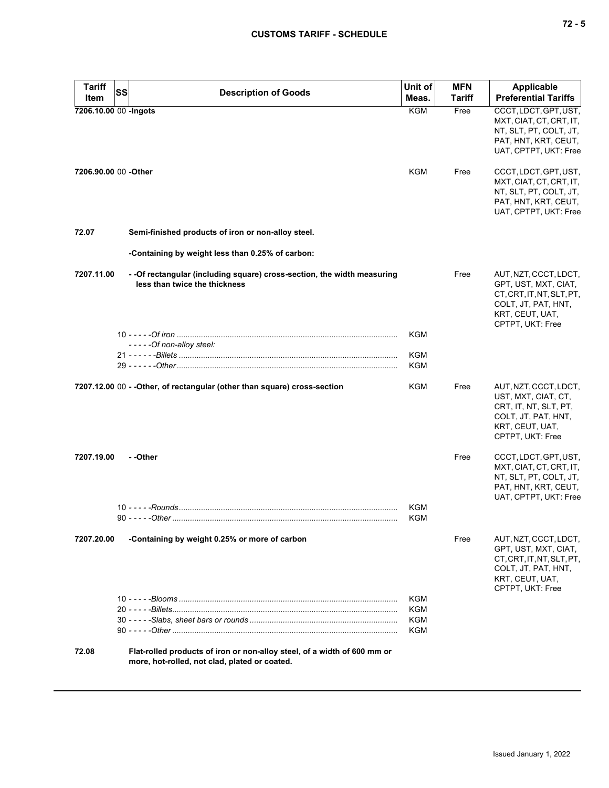| <b>Tariff</b>         | SS                                                                                                                        | Unit of           | <b>MFN</b>    | <b>Applicable</b>                                                                                                                        |
|-----------------------|---------------------------------------------------------------------------------------------------------------------------|-------------------|---------------|------------------------------------------------------------------------------------------------------------------------------------------|
| Item                  | <b>Description of Goods</b>                                                                                               | Meas.             | <b>Tariff</b> | <b>Preferential Tariffs</b>                                                                                                              |
| 7206.10.00 00 -Ingots |                                                                                                                           | <b>KGM</b>        | Free          | CCCT, LDCT, GPT, UST,<br>MXT, CIAT, CT, CRT, IT,<br>NT, SLT, PT, COLT, JT,<br>PAT, HNT, KRT, CEUT,<br>UAT, CPTPT, UKT: Free              |
| 7206.90.00 00 - Other |                                                                                                                           | <b>KGM</b>        | Free          | CCCT, LDCT, GPT, UST,<br>MXT, CIAT, CT, CRT, IT,<br>NT, SLT, PT, COLT, JT,<br>PAT, HNT, KRT, CEUT,<br>UAT, CPTPT, UKT: Free              |
| 72.07                 | Semi-finished products of iron or non-alloy steel.                                                                        |                   |               |                                                                                                                                          |
|                       | -Containing by weight less than 0.25% of carbon:                                                                          |                   |               |                                                                                                                                          |
| 7207.11.00            | - - Of rectangular (including square) cross-section, the width measuring<br>less than twice the thickness                 |                   | Free          | AUT, NZT, CCCT, LDCT,<br>GPT, UST, MXT, CIAT,<br>CT, CRT, IT, NT, SLT, PT,<br>COLT, JT, PAT, HNT,<br>KRT, CEUT, UAT,<br>CPTPT, UKT: Free |
|                       |                                                                                                                           | <b>KGM</b>        |               |                                                                                                                                          |
|                       | -----Of non-alloy steel:                                                                                                  | <b>KGM</b>        |               |                                                                                                                                          |
|                       |                                                                                                                           | <b>KGM</b>        |               |                                                                                                                                          |
|                       | 7207.12.00 00 - - Other, of rectangular (other than square) cross-section                                                 | KGM               | Free          | AUT, NZT, CCCT, LDCT,<br>UST, MXT, CIAT, CT,<br>CRT, IT, NT, SLT, PT,<br>COLT, JT, PAT, HNT,<br>KRT, CEUT, UAT,<br>CPTPT, UKT: Free      |
| 7207.19.00            | - -Other                                                                                                                  | KGM               | Free          | CCCT, LDCT, GPT, UST,<br>MXT, CIAT, CT, CRT, IT,<br>NT, SLT, PT, COLT, JT,<br>PAT, HNT, KRT, CEUT,<br>UAT, CPTPT, UKT: Free              |
|                       |                                                                                                                           | KGM               |               |                                                                                                                                          |
| 7207.20.00            | -Containing by weight 0.25% or more of carbon                                                                             |                   | Free          | AUT, NZT, CCCT, LDCT,<br>GPT, UST, MXT, CIAT,<br>CT, CRT, IT, NT, SLT, PT,<br>COLT, JT, PAT, HNT,<br>KRT, CEUT, UAT,<br>CPTPT, UKT: Free |
|                       |                                                                                                                           | KGM               |               |                                                                                                                                          |
|                       |                                                                                                                           | <b>KGM</b><br>KGM |               |                                                                                                                                          |
|                       |                                                                                                                           | <b>KGM</b>        |               |                                                                                                                                          |
| 72.08                 | Flat-rolled products of iron or non-alloy steel, of a width of 600 mm or<br>more, hot-rolled, not clad, plated or coated. |                   |               |                                                                                                                                          |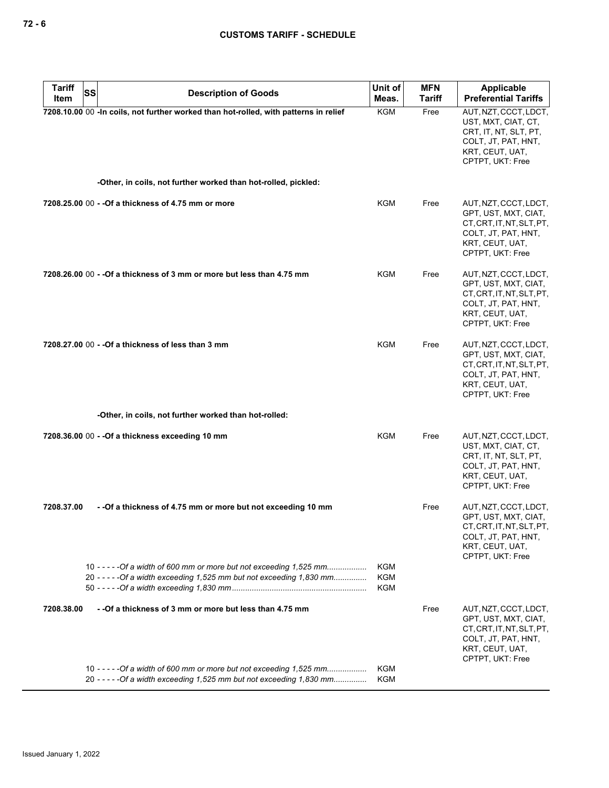| <b>Tariff</b> | <b>SS</b><br><b>Description of Goods</b>                                                                                                      | Unit of                         | <b>MFN</b> | <b>Applicable</b>                                                                                                                        |
|---------------|-----------------------------------------------------------------------------------------------------------------------------------------------|---------------------------------|------------|------------------------------------------------------------------------------------------------------------------------------------------|
| Item          |                                                                                                                                               | Meas.                           | Tariff     | <b>Preferential Tariffs</b>                                                                                                              |
|               | 7208.10.00 00 - In coils, not further worked than hot-rolled, with patterns in relief                                                         | <b>KGM</b>                      | Free       | AUT, NZT, CCCT, LDCT,<br>UST, MXT, CIAT, CT,<br>CRT, IT, NT, SLT, PT,<br>COLT, JT, PAT, HNT,<br>KRT, CEUT, UAT,<br>CPTPT, UKT: Free      |
|               | -Other, in coils, not further worked than hot-rolled, pickled:                                                                                |                                 |            |                                                                                                                                          |
|               | 7208.25.00 00 - - Of a thickness of 4.75 mm or more                                                                                           | <b>KGM</b>                      | Free       | AUT, NZT, CCCT, LDCT,<br>GPT, UST, MXT, CIAT,<br>CT, CRT, IT, NT, SLT, PT,<br>COLT, JT, PAT, HNT,<br>KRT, CEUT, UAT,<br>CPTPT, UKT: Free |
|               | 7208.26.00 00 - - Of a thickness of 3 mm or more but less than 4.75 mm                                                                        | KGM                             | Free       | AUT, NZT, CCCT, LDCT,<br>GPT, UST, MXT, CIAT,<br>CT, CRT, IT, NT, SLT, PT,<br>COLT, JT, PAT, HNT,<br>KRT, CEUT, UAT,<br>CPTPT, UKT: Free |
|               | 7208.27.00 00 - - Of a thickness of less than 3 mm                                                                                            | KGM                             | Free       | AUT, NZT, CCCT, LDCT,<br>GPT, UST, MXT, CIAT,<br>CT, CRT, IT, NT, SLT, PT,<br>COLT, JT, PAT, HNT,<br>KRT, CEUT, UAT,<br>CPTPT, UKT: Free |
|               | -Other, in coils, not further worked than hot-rolled:                                                                                         |                                 |            |                                                                                                                                          |
|               | 7208.36.00 00 - - Of a thickness exceeding 10 mm                                                                                              | <b>KGM</b>                      | Free       | AUT, NZT, CCCT, LDCT,<br>UST, MXT, CIAT, CT,<br>CRT, IT, NT, SLT, PT,<br>COLT, JT, PAT, HNT,<br>KRT, CEUT, UAT,<br>CPTPT, UKT: Free      |
| 7208.37.00    | - - Of a thickness of 4.75 mm or more but not exceeding 10 mm                                                                                 |                                 | Free       | AUT, NZT, CCCT, LDCT,<br>GPT, UST, MXT, CIAT,<br>CT, CRT, IT, NT, SLT, PT,<br>COLT, JT, PAT, HNT,<br>KRT, CEUT, UAT,<br>CPTPT, UKT: Free |
|               | 10 - - - - - Of a width of 600 mm or more but not exceeding 1,525 mm<br>20 - - - - - Of a width exceeding 1,525 mm but not exceeding 1,830 mm | <b>KGM</b><br><b>KGM</b><br>KGM |            |                                                                                                                                          |
| 7208.38.00    | - -Of a thickness of 3 mm or more but less than 4.75 mm                                                                                       |                                 | Free       | AUT, NZT, CCCT, LDCT,<br>GPT, UST, MXT, CIAT,<br>CT, CRT, IT, NT, SLT, PT,<br>COLT, JT, PAT, HNT,<br>KRT, CEUT, UAT,<br>CPTPT, UKT: Free |
|               | 10 - - - - - Of a width of 600 mm or more but not exceeding 1,525 mm<br>20 - - - - - Of a width exceeding 1,525 mm but not exceeding 1,830 mm | <b>KGM</b><br><b>KGM</b>        |            |                                                                                                                                          |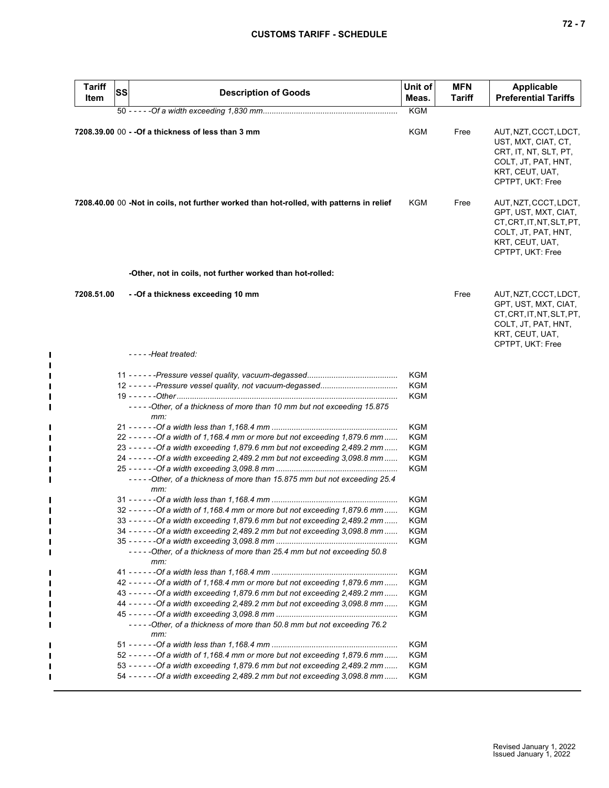|--|--|--|

| <b>Tariff</b><br>Item | <b>SS</b> | <b>Description of Goods</b>                                                              | Unit of<br>Meas.  | <b>MFN</b><br><b>Tariff</b> | <b>Applicable</b><br><b>Preferential Tariffs</b>                                                                                         |
|-----------------------|-----------|------------------------------------------------------------------------------------------|-------------------|-----------------------------|------------------------------------------------------------------------------------------------------------------------------------------|
|                       |           |                                                                                          | <b>KGM</b>        |                             |                                                                                                                                          |
|                       |           | 7208.39.00 00 - - Of a thickness of less than 3 mm                                       | <b>KGM</b>        | Free                        | AUT, NZT, CCCT, LDCT,<br>UST, MXT, CIAT, CT,<br>CRT, IT, NT, SLT, PT,<br>COLT, JT, PAT, HNT,<br>KRT, CEUT, UAT,<br>CPTPT, UKT: Free      |
|                       |           | 7208.40.00 00 -Not in coils, not further worked than hot-rolled, with patterns in relief | KGM               | Free                        | AUT, NZT, CCCT, LDCT,<br>GPT, UST, MXT, CIAT,<br>CT, CRT, IT, NT, SLT, PT,<br>COLT, JT, PAT, HNT,<br>KRT, CEUT, UAT,<br>CPTPT, UKT: Free |
|                       |           | -Other, not in coils, not further worked than hot-rolled:                                |                   |                             |                                                                                                                                          |
| 7208.51.00            |           | - -Of a thickness exceeding 10 mm                                                        |                   | Free                        | AUT, NZT, CCCT, LDCT,<br>GPT, UST, MXT, CIAT,<br>CT, CRT, IT, NT, SLT, PT,<br>COLT, JT, PAT, HNT,<br>KRT, CEUT, UAT,<br>CPTPT, UKT: Free |
|                       |           | -----Heat treated:                                                                       |                   |                             |                                                                                                                                          |
|                       |           | -----Other, of a thickness of more than 10 mm but not exceeding 15.875                   | KGM<br>KGM<br>KGM |                             |                                                                                                                                          |
|                       |           | mm:                                                                                      | KGM               |                             |                                                                                                                                          |
|                       |           | 22 - - - - - - - Of a width of 1,168.4 mm or more but not exceeding 1,879.6 mm           | KGM               |                             |                                                                                                                                          |
|                       |           | 23 - - - - - - - Of a width exceeding 1,879.6 mm but not exceeding 2,489.2 mm            | KGM               |                             |                                                                                                                                          |
|                       |           | 24 - - - - - - - Of a width exceeding 2,489.2 mm but not exceeding 3,098.8 mm            | KGM               |                             |                                                                                                                                          |
|                       |           | -----Other, of a thickness of more than 15.875 mm but not exceeding 25.4<br>mm:          | KGM               |                             |                                                                                                                                          |
|                       |           |                                                                                          | KGM               |                             |                                                                                                                                          |
|                       |           | 32 - - - - - - - Of a width of 1,168.4 mm or more but not exceeding 1,879.6 mm           | KGM               |                             |                                                                                                                                          |
|                       |           | 33 - - - - - - - Of a width exceeding 1,879.6 mm but not exceeding 2,489.2 mm            | KGM               |                             |                                                                                                                                          |
|                       |           | 34 - - - - - - - Of a width exceeding 2,489.2 mm but not exceeding 3,098.8 mm            | KGM               |                             |                                                                                                                                          |
|                       |           |                                                                                          | KGM               |                             |                                                                                                                                          |
|                       |           | -----Other, of a thickness of more than 25.4 mm but not exceeding 50.8<br>mm:            |                   |                             |                                                                                                                                          |
|                       |           |                                                                                          | KGM               |                             |                                                                                                                                          |
|                       |           | 42 - - - - - - - Of a width of 1,168.4 mm or more but not exceeding 1,879.6 mm           | <b>KGM</b>        |                             |                                                                                                                                          |
|                       |           | 43 - - - - - - - Of a width exceeding 1,879.6 mm but not exceeding 2,489.2 mm            | <b>KGM</b>        |                             |                                                                                                                                          |
|                       |           | 44 - - - - - - - Of a width exceeding 2,489.2 mm but not exceeding 3,098.8 mm            | <b>KGM</b>        |                             |                                                                                                                                          |
|                       |           | -----Other, of a thickness of more than 50.8 mm but not exceeding 76.2<br>mm:            | KGM               |                             |                                                                                                                                          |
|                       |           |                                                                                          | KGM               |                             |                                                                                                                                          |
|                       |           | 52 - - - - - - - Of a width of 1,168.4 mm or more but not exceeding 1,879.6 mm           | <b>KGM</b>        |                             |                                                                                                                                          |
|                       |           | 53 - - - - - - - Of a width exceeding 1,879.6 mm but not exceeding 2,489.2 mm            | KGM               |                             |                                                                                                                                          |
|                       |           |                                                                                          |                   |                             |                                                                                                                                          |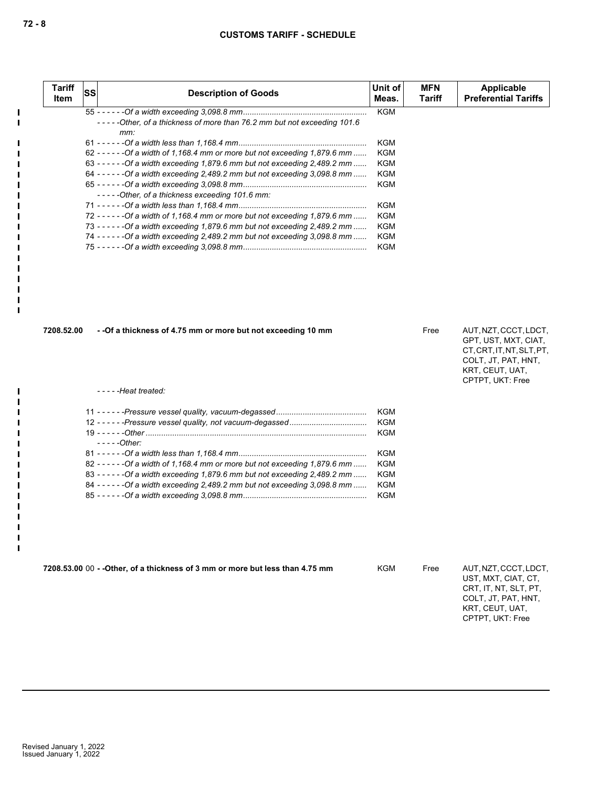| <b>Tariff</b><br><b>Item</b> | SS | <b>Description of Goods</b>                                                     | Unit of<br>Meas. | <b>MFN</b><br><b>Tariff</b> | <b>Applicable</b><br><b>Preferential Tariffs</b>                                                                                         |
|------------------------------|----|---------------------------------------------------------------------------------|------------------|-----------------------------|------------------------------------------------------------------------------------------------------------------------------------------|
|                              |    |                                                                                 | <b>KGM</b>       |                             |                                                                                                                                          |
|                              |    | -----Other, of a thickness of more than 76.2 mm but not exceeding 101.6<br>mm:  |                  |                             |                                                                                                                                          |
|                              |    |                                                                                 | KGM              |                             |                                                                                                                                          |
|                              |    | 62 - - - - - - - Of a width of 1,168.4 mm or more but not exceeding 1,879.6 mm  | <b>KGM</b>       |                             |                                                                                                                                          |
|                              |    | 63 - - - - - - - Of a width exceeding 1,879.6 mm but not exceeding 2,489.2 mm   | <b>KGM</b>       |                             |                                                                                                                                          |
|                              |    | 64 ----- - - Of a width exceeding 2,489.2 mm but not exceeding 3,098.8 mm       | KGM              |                             |                                                                                                                                          |
|                              |    |                                                                                 | KGM              |                             |                                                                                                                                          |
|                              |    | -----Other, of a thickness exceeding 101.6 mm:                                  |                  |                             |                                                                                                                                          |
|                              |    |                                                                                 | <b>KGM</b>       |                             |                                                                                                                                          |
|                              |    | 72 ----- - - - Of a width of 1,168.4 mm or more but not exceeding 1,879.6 mm    | KGM              |                             |                                                                                                                                          |
|                              |    | 73 - - - - - - - Of a width exceeding 1,879.6 mm but not exceeding 2,489.2 mm   | KGM              |                             |                                                                                                                                          |
|                              |    | 74 ----- - - Of a width exceeding 2,489.2 mm but not exceeding 3,098.8 mm       | <b>KGM</b>       |                             |                                                                                                                                          |
|                              |    |                                                                                 | <b>KGM</b>       |                             |                                                                                                                                          |
| 7208.52.00                   |    | - -Of a thickness of 4.75 mm or more but not exceeding 10 mm                    |                  | Free                        | AUT, NZT, CCCT, LDCT,<br>GPT, UST, MXT, CIAT,<br>CT, CRT, IT, NT, SLT, PT,<br>COLT, JT, PAT, HNT,<br>KRT, CEUT, UAT,<br>CPTPT, UKT: Free |
|                              |    |                                                                                 |                  |                             |                                                                                                                                          |
|                              |    | $---$ Heat treated:                                                             |                  |                             |                                                                                                                                          |
|                              |    |                                                                                 | <b>KGM</b>       |                             |                                                                                                                                          |
|                              |    |                                                                                 | <b>KGM</b>       |                             |                                                                                                                                          |
|                              |    |                                                                                 | <b>KGM</b>       |                             |                                                                                                                                          |
|                              |    | $---Other:$                                                                     |                  |                             |                                                                                                                                          |
|                              |    |                                                                                 | <b>KGM</b>       |                             |                                                                                                                                          |
|                              |    | 82 ----- - - - Of a width of 1,168.4 mm or more but not exceeding 1,879.6 mm    | <b>KGM</b>       |                             |                                                                                                                                          |
|                              |    | 83 ----- - - - - - Of a width exceeding 1,879.6 mm but not exceeding 2,489.2 mm | KGM              |                             |                                                                                                                                          |
|                              |    | 84 - - - - - - - Of a width exceeding 2,489.2 mm but not exceeding 3,098.8 mm   | KGM              |                             |                                                                                                                                          |
|                              |    |                                                                                 | <b>KGM</b>       |                             |                                                                                                                                          |
|                              |    | 7208.53.00 00 - - Other, of a thickness of 3 mm or more but less than 4.75 mm   | <b>KGM</b>       | Free                        | AUT, NZT, CCCT, LDCT,                                                                                                                    |

COLT, JT, PAT, HNT, KRT, CEUT, UAT, CPTPT, UKT: Free

 $\mathbf{I}$  $\blacksquare$ 

П П П H  $\blacksquare$  $\blacksquare$  $\blacksquare$  $\blacksquare$  $\blacksquare$  $\mathbf{I}$  $\mathbf{I}$  $\mathbf{I}$  $\mathbf{I}$  $\mathbf{I}$  $\mathbf{I}$  $\blacksquare$  $\mathbf{I}$ 

 $\mathbf{I}$  $\blacksquare$  $\mathbf{I}$  $\mathbf{I}$  $\mathbf{I}$  $\mathbf{I}$  $\blacksquare$  $\blacksquare$  $\blacksquare$  $\blacksquare$  $\blacksquare$  $\mathbf{I}$  $\blacksquare$  $\blacksquare$  $\mathbf{I}$  $\blacksquare$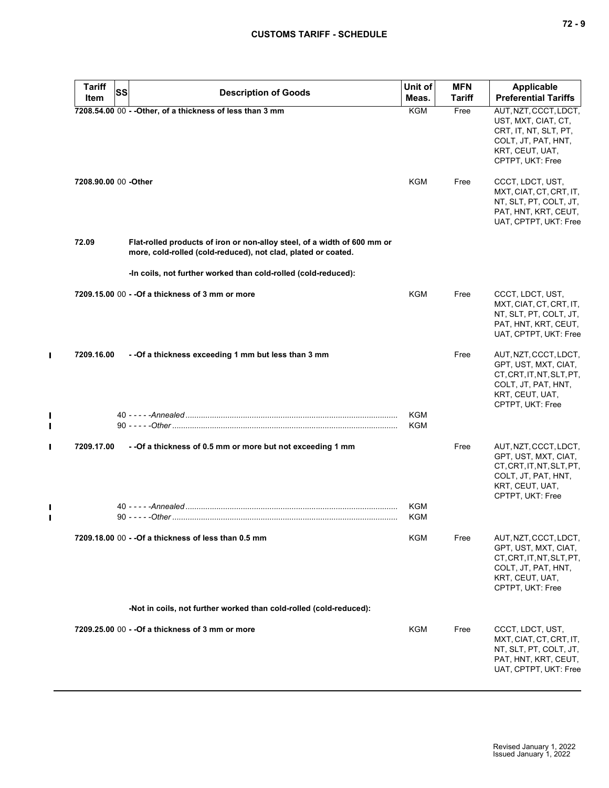|  |  | $\sim$ |
|--|--|--------|
|--|--|--------|

| <b>Tariff</b>        | <b>SS</b> | <b>Description of Goods</b>                                                                                                               | Unit of           | <b>MFN</b> | <b>Applicable</b>                                                                                                                        |
|----------------------|-----------|-------------------------------------------------------------------------------------------------------------------------------------------|-------------------|------------|------------------------------------------------------------------------------------------------------------------------------------------|
| Item                 |           |                                                                                                                                           | Meas.             | Tariff     | <b>Preferential Tariffs</b>                                                                                                              |
|                      |           | 7208.54.00 00 - - Other, of a thickness of less than 3 mm                                                                                 | <b>KGM</b>        | Free       | AUT, NZT, CCCT, LDCT,<br>UST, MXT, CIAT, CT,<br>CRT, IT, NT, SLT, PT,<br>COLT, JT, PAT, HNT,<br>KRT, CEUT, UAT,<br>CPTPT, UKT: Free      |
| 7208.90.00 00 -Other |           |                                                                                                                                           | <b>KGM</b>        | Free       | CCCT, LDCT, UST,<br>MXT, CIAT, CT, CRT, IT,<br>NT, SLT, PT, COLT, JT,<br>PAT, HNT, KRT, CEUT,<br>UAT, CPTPT, UKT: Free                   |
| 72.09                |           | Flat-rolled products of iron or non-alloy steel, of a width of 600 mm or<br>more, cold-rolled (cold-reduced), not clad, plated or coated. |                   |            |                                                                                                                                          |
|                      |           | -In coils, not further worked than cold-rolled (cold-reduced):                                                                            |                   |            |                                                                                                                                          |
|                      |           | 7209.15.00 00 - - Of a thickness of 3 mm or more                                                                                          | KGM               | Free       | CCCT, LDCT, UST,<br>MXT, CIAT, CT, CRT, IT,<br>NT, SLT, PT, COLT, JT,<br>PAT, HNT, KRT, CEUT,<br>UAT, CPTPT, UKT: Free                   |
| 7209.16.00           |           | - - Of a thickness exceeding 1 mm but less than 3 mm                                                                                      |                   | Free       | AUT, NZT, CCCT, LDCT,<br>GPT, UST, MXT, CIAT,<br>CT, CRT, IT, NT, SLT, PT,<br>COLT, JT, PAT, HNT,<br>KRT, CEUT, UAT,<br>CPTPT, UKT: Free |
|                      |           |                                                                                                                                           | <b>KGM</b><br>KGM |            |                                                                                                                                          |
| 7209.17.00           |           | - - Of a thickness of 0.5 mm or more but not exceeding 1 mm                                                                               |                   | Free       | AUT, NZT, CCCT, LDCT,<br>GPT, UST, MXT, CIAT,<br>CT, CRT, IT, NT, SLT, PT,<br>COLT, JT, PAT, HNT,<br>KRT, CEUT, UAT,<br>CPTPT, UKT: Free |
|                      |           |                                                                                                                                           | KGM               |            |                                                                                                                                          |
|                      |           |                                                                                                                                           | KGM               |            |                                                                                                                                          |
|                      |           | 7209.18.00 00 - - Of a thickness of less than 0.5 mm                                                                                      | KGM               | Free       | AUT, NZT, CCCT, LDCT,<br>GPT, UST, MXT, CIAT,<br>CT.CRT.IT.NT.SLT.PT.<br>COLT, JT, PAT, HNT,<br>KRT, CEUT, UAT,<br>CPTPT, UKT: Free      |
|                      |           | -Not in coils, not further worked than cold-rolled (cold-reduced):                                                                        |                   |            |                                                                                                                                          |
|                      |           | 7209.25.00 00 - - Of a thickness of 3 mm or more                                                                                          | <b>KGM</b>        | Free       | CCCT, LDCT, UST,<br>MXT, CIAT, CT, CRT, IT,<br>NT, SLT, PT, COLT, JT,<br>PAT, HNT, KRT, CEUT,<br>UAT, CPTPT, UKT: Free                   |

 $\mathbf{I}$ 

 $\mathbf{I}$  $\blacksquare$ 

 $\blacksquare$ 

 $\blacksquare$  $\blacksquare$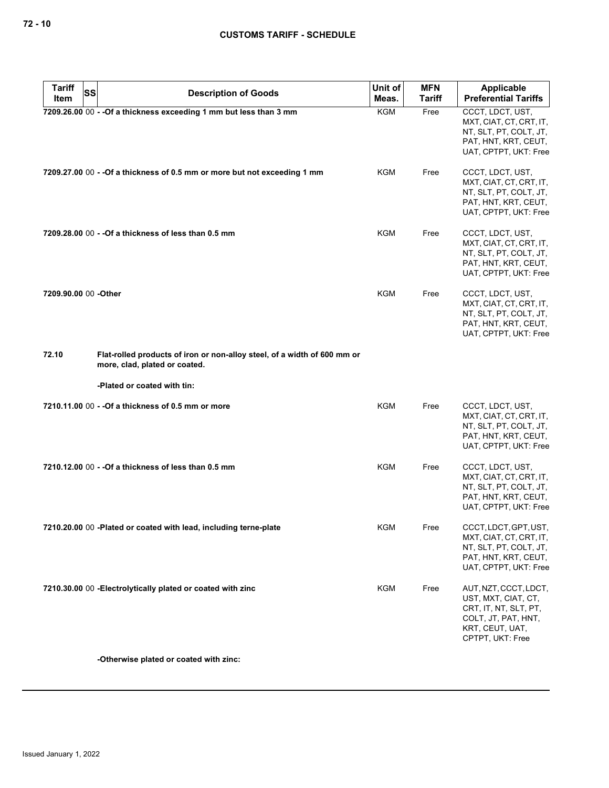| <b>Tariff</b>        | <b>SS</b> | <b>Description of Goods</b>                                                                               | Unit of    | <b>MFN</b>    | <b>Applicable</b>                                                                                                                   |
|----------------------|-----------|-----------------------------------------------------------------------------------------------------------|------------|---------------|-------------------------------------------------------------------------------------------------------------------------------------|
| Item                 |           |                                                                                                           | Meas.      | <b>Tariff</b> | <b>Preferential Tariffs</b>                                                                                                         |
|                      |           | 7209.26.00 00 - - Of a thickness exceeding 1 mm but less than 3 mm                                        | <b>KGM</b> | Free          | CCCT, LDCT, UST,<br>MXT, CIAT, CT, CRT, IT,<br>NT, SLT, PT, COLT, JT,<br>PAT, HNT, KRT, CEUT,<br>UAT, CPTPT, UKT: Free              |
|                      |           | 7209.27.00 00 - - Of a thickness of 0.5 mm or more but not exceeding 1 mm                                 | KGM        | Free          | CCCT, LDCT, UST,<br>MXT, CIAT, CT, CRT, IT,<br>NT, SLT, PT, COLT, JT,<br>PAT, HNT, KRT, CEUT,<br>UAT, CPTPT, UKT: Free              |
|                      |           | 7209.28.00 00 - - Of a thickness of less than 0.5 mm                                                      | KGM        | Free          | CCCT, LDCT, UST,<br>MXT, CIAT, CT, CRT, IT,<br>NT, SLT, PT, COLT, JT,<br>PAT, HNT, KRT, CEUT,<br>UAT, CPTPT, UKT: Free              |
| 7209.90.00 00 -Other |           |                                                                                                           | KGM        | Free          | CCCT, LDCT, UST,<br>MXT, CIAT, CT, CRT, IT,<br>NT, SLT, PT, COLT, JT,<br>PAT, HNT, KRT, CEUT,<br>UAT, CPTPT, UKT: Free              |
| 72.10                |           | Flat-rolled products of iron or non-alloy steel, of a width of 600 mm or<br>more, clad, plated or coated. |            |               |                                                                                                                                     |
|                      |           | -Plated or coated with tin:                                                                               |            |               |                                                                                                                                     |
|                      |           | 7210.11.00 00 - - Of a thickness of 0.5 mm or more                                                        | <b>KGM</b> | Free          | CCCT, LDCT, UST,<br>MXT, CIAT, CT, CRT, IT,<br>NT, SLT, PT, COLT, JT,<br>PAT, HNT, KRT, CEUT,<br>UAT, CPTPT, UKT: Free              |
|                      |           | 7210.12.00 00 - - Of a thickness of less than 0.5 mm                                                      | KGM        | Free          | CCCT, LDCT, UST,<br>MXT, CIAT, CT, CRT, IT,<br>NT, SLT, PT, COLT, JT,<br>PAT, HNT, KRT, CEUT,<br>UAT, CPTPT, UKT: Free              |
|                      |           | 7210.20.00 00 -Plated or coated with lead, including terne-plate                                          | <b>KGM</b> | Free          | CCCT, LDCT, GPT, UST,<br>MXT, CIAT, CT, CRT, IT,<br>NT, SLT, PT, COLT, JT,<br>PAT, HNT, KRT, CEUT,<br>UAT, CPTPT, UKT: Free         |
|                      |           | 7210.30.00 00 - Electrolytically plated or coated with zinc                                               | <b>KGM</b> | Free          | AUT, NZT, CCCT, LDCT,<br>UST, MXT, CIAT, CT,<br>CRT, IT, NT, SLT, PT,<br>COLT, JT, PAT, HNT,<br>KRT, CEUT, UAT,<br>CPTPT, UKT: Free |

**-Otherwise plated or coated with zinc:**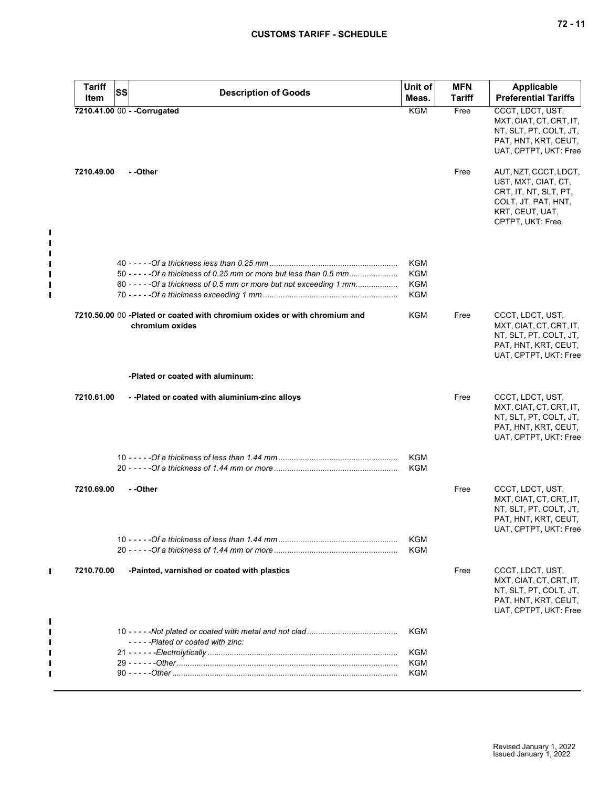| <b>Tariff</b> | <b>SS</b> | <b>Description of Goods</b>                                                                  | Unit of           | <b>MFN</b> | <b>Applicable</b>                                                                                                                   |
|---------------|-----------|----------------------------------------------------------------------------------------------|-------------------|------------|-------------------------------------------------------------------------------------------------------------------------------------|
| Item          |           |                                                                                              | Meas.             | Tariff     | <b>Preferential Tariffs</b>                                                                                                         |
|               |           | 7210.41.00 00 - - Corrugated                                                                 | <b>KGM</b>        | Free       | CCCT, LDCT, UST,<br>MXT, CIAT, CT, CRT, IT,<br>NT, SLT, PT, COLT, JT,<br>PAT, HNT, KRT, CEUT,<br>UAT, CPTPT, UKT: Free              |
| 7210.49.00    |           | - -Other                                                                                     |                   | Free       | AUT, NZT, CCCT, LDCT,<br>UST, MXT, CIAT, CT,<br>CRT, IT, NT, SLT, PT,<br>COLT, JT, PAT, HNT,<br>KRT, CEUT, UAT,<br>CPTPT, UKT: Free |
|               |           |                                                                                              |                   |            |                                                                                                                                     |
|               |           | 50 - - - - - Of a thickness of 0.25 mm or more but less than 0.5 mm                          | <b>KGM</b><br>KGM |            |                                                                                                                                     |
|               |           | 60 - - - - - Of a thickness of 0.5 mm or more but not exceeding 1 mm                         | KGM               |            |                                                                                                                                     |
|               |           |                                                                                              | KGM               |            |                                                                                                                                     |
|               |           | 7210.50.00 00 -Plated or coated with chromium oxides or with chromium and<br>chromium oxides | KGM               | Free       | CCCT, LDCT, UST,<br>MXT, CIAT, CT, CRT, IT,<br>NT, SLT, PT, COLT, JT,<br>PAT, HNT, KRT, CEUT,<br>UAT, CPTPT, UKT: Free              |
|               |           | -Plated or coated with aluminum:                                                             |                   |            |                                                                                                                                     |
| 7210.61.00    |           | --Plated or coated with aluminium-zinc alloys                                                |                   | Free       | CCCT, LDCT, UST,<br>MXT, CIAT, CT, CRT, IT,<br>NT, SLT, PT, COLT, JT,<br>PAT, HNT, KRT, CEUT,<br>UAT, CPTPT, UKT: Free              |
|               |           |                                                                                              | KGM               |            |                                                                                                                                     |
|               |           |                                                                                              | KGM               |            |                                                                                                                                     |
| 7210.69.00    |           | - -Other                                                                                     |                   | Free       | CCCT, LDCT, UST,<br>MXT, CIAT, CT, CRT, IT,<br>NT, SLT, PT, COLT, JT,<br>PAT, HNT, KRT, CEUT,<br>UAT, CPTPT, UKT: Free              |
|               |           |                                                                                              | KGM               |            |                                                                                                                                     |
|               |           |                                                                                              | KGM               |            |                                                                                                                                     |
| 7210.70.00    |           | -Painted, varnished or coated with plastics                                                  |                   | Free       | CCCT, LDCT, UST,<br>MXT, CIAT, CT, CRT, IT,<br>NT, SLT, PT, COLT, JT,<br>PAT, HNT, KRT, CEUT,<br>UAT, CPTPT, UKT: Free              |
|               |           | -----Plated or coated with zinc:                                                             | KGM               |            |                                                                                                                                     |
|               |           |                                                                                              | KGM               |            |                                                                                                                                     |
|               |           |                                                                                              | KGM               |            |                                                                                                                                     |
|               |           |                                                                                              |                   |            |                                                                                                                                     |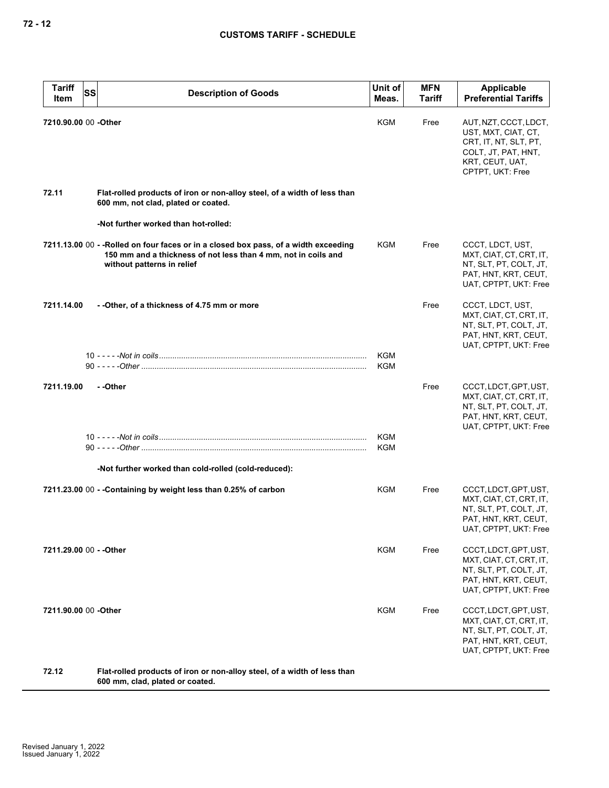| <b>Tariff</b><br><b>SS</b><br>Item | <b>Description of Goods</b>                                                                                                                                                          | Unit of<br>Meas.         | <b>MFN</b><br><b>Tariff</b> | Applicable<br><b>Preferential Tariffs</b>                                                                                           |
|------------------------------------|--------------------------------------------------------------------------------------------------------------------------------------------------------------------------------------|--------------------------|-----------------------------|-------------------------------------------------------------------------------------------------------------------------------------|
| 7210.90.00 00 -Other               |                                                                                                                                                                                      | <b>KGM</b>               | Free                        | AUT, NZT, CCCT, LDCT,<br>UST, MXT, CIAT, CT,<br>CRT, IT, NT, SLT, PT,<br>COLT, JT, PAT, HNT,<br>KRT, CEUT, UAT,<br>CPTPT, UKT: Free |
| 72.11                              | Flat-rolled products of iron or non-alloy steel, of a width of less than<br>600 mm, not clad, plated or coated.                                                                      |                          |                             |                                                                                                                                     |
|                                    | -Not further worked than hot-rolled:                                                                                                                                                 |                          |                             |                                                                                                                                     |
|                                    | 7211.13.00 00 - - Rolled on four faces or in a closed box pass, of a width exceeding<br>150 mm and a thickness of not less than 4 mm, not in coils and<br>without patterns in relief | KGM                      | Free                        | CCCT, LDCT, UST,<br>MXT, CIAT, CT, CRT, IT,<br>NT, SLT, PT, COLT, JT,<br>PAT, HNT, KRT, CEUT,<br>UAT, CPTPT, UKT: Free              |
| 7211.14.00                         | - -Other, of a thickness of 4.75 mm or more                                                                                                                                          |                          | Free                        | CCCT, LDCT, UST,<br>MXT, CIAT, CT, CRT, IT,<br>NT, SLT, PT, COLT, JT,<br>PAT, HNT, KRT, CEUT,<br>UAT, CPTPT, UKT: Free              |
|                                    |                                                                                                                                                                                      | <b>KGM</b><br><b>KGM</b> |                             |                                                                                                                                     |
| 7211.19.00                         | - -Other                                                                                                                                                                             |                          | Free                        | CCCT, LDCT, GPT, UST,<br>MXT, CIAT, CT, CRT, IT,<br>NT, SLT, PT, COLT, JT,<br>PAT, HNT, KRT, CEUT,<br>UAT, CPTPT, UKT: Free         |
|                                    |                                                                                                                                                                                      | <b>KGM</b><br>KGM        |                             |                                                                                                                                     |
|                                    | -Not further worked than cold-rolled (cold-reduced):                                                                                                                                 |                          |                             |                                                                                                                                     |
|                                    | 7211.23.00 00 - - Containing by weight less than 0.25% of carbon                                                                                                                     | KGM                      | Free                        | CCCT, LDCT, GPT, UST,<br>MXT, CIAT, CT, CRT, IT,<br>NT, SLT, PT, COLT, JT,<br>PAT, HNT, KRT, CEUT,<br>UAT, CPTPT, UKT: Free         |
| 7211.29.00 00 - - Other            |                                                                                                                                                                                      | KGM                      | Free                        | CCCT, LDCT, GPT, UST,<br>MXT, CIAT, CT, CRT, IT,<br>NT, SLT, PT, COLT, JT,<br>PAT, HNT, KRT, CEUT,<br>UAT, CPTPT, UKT: Free         |
| 7211.90.00 00 -Other               |                                                                                                                                                                                      | KGM                      | Free                        | CCCT, LDCT, GPT, UST,<br>MXT, CIAT, CT, CRT, IT,<br>NT, SLT, PT, COLT, JT,<br>PAT, HNT, KRT, CEUT,<br>UAT, CPTPT, UKT: Free         |
| 72.12                              | Flat-rolled products of iron or non-alloy steel, of a width of less than                                                                                                             |                          |                             |                                                                                                                                     |

**600 mm, clad, plated or coated.**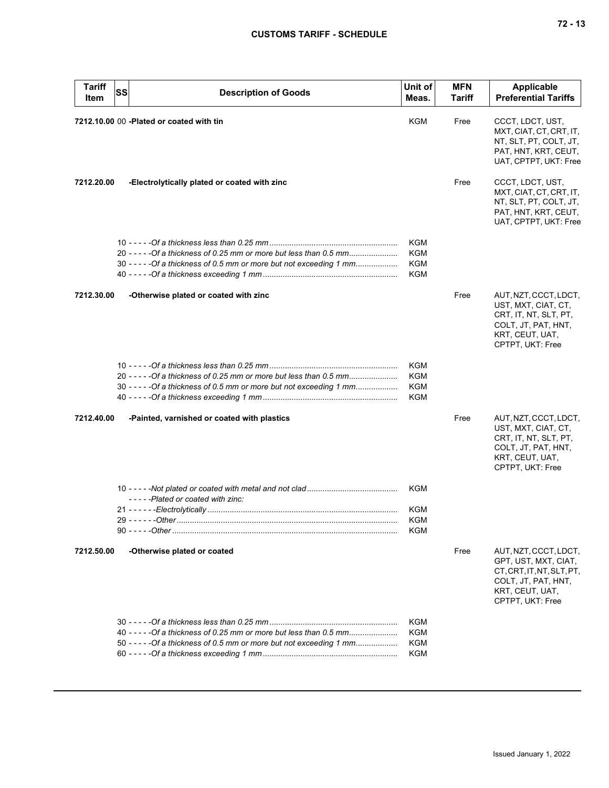| <b>Tariff</b><br>Item | SS | <b>Description of Goods</b>                                                                                                                 | Unit of<br>Meas.                                     | <b>MFN</b><br><b>Tariff</b> | <b>Applicable</b><br><b>Preferential Tariffs</b>                                                                                         |
|-----------------------|----|---------------------------------------------------------------------------------------------------------------------------------------------|------------------------------------------------------|-----------------------------|------------------------------------------------------------------------------------------------------------------------------------------|
|                       |    | 7212.10.00 00 - Plated or coated with tin                                                                                                   | KGM                                                  | Free                        | CCCT, LDCT, UST,<br>MXT, CIAT, CT, CRT, IT,<br>NT, SLT, PT, COLT, JT,<br>PAT, HNT, KRT, CEUT,<br>UAT, CPTPT, UKT: Free                   |
| 7212.20.00            |    | -Electrolytically plated or coated with zinc                                                                                                |                                                      | Free                        | CCCT, LDCT, UST,<br>MXT, CIAT, CT, CRT, IT,<br>NT, SLT, PT, COLT, JT,<br>PAT, HNT, KRT, CEUT,<br>UAT, CPTPT, UKT: Free                   |
|                       |    | 20 - - - - - Of a thickness of 0.25 mm or more but less than 0.5 mm<br>30 - - - - - Of a thickness of 0.5 mm or more but not exceeding 1 mm | <b>KGM</b><br><b>KGM</b><br><b>KGM</b><br><b>KGM</b> |                             |                                                                                                                                          |
| 7212.30.00            |    | -Otherwise plated or coated with zinc                                                                                                       |                                                      | Free                        | AUT, NZT, CCCT, LDCT,<br>UST, MXT, CIAT, CT,<br>CRT, IT, NT, SLT, PT,<br>COLT, JT, PAT, HNT,<br>KRT, CEUT, UAT,<br>CPTPT, UKT: Free      |
|                       |    | 20 - - - - - Of a thickness of 0.25 mm or more but less than 0.5 mm<br>30 - - - - - Of a thickness of 0.5 mm or more but not exceeding 1 mm | <b>KGM</b><br><b>KGM</b><br><b>KGM</b><br>KGM        |                             |                                                                                                                                          |
| 7212.40.00            |    | -Painted, varnished or coated with plastics                                                                                                 |                                                      | Free                        | AUT, NZT, CCCT, LDCT,<br>UST, MXT, CIAT, CT,<br>CRT, IT, NT, SLT, PT,<br>COLT, JT, PAT, HNT,<br>KRT, CEUT, UAT,<br>CPTPT, UKT: Free      |
|                       |    |                                                                                                                                             | KGM                                                  |                             |                                                                                                                                          |
|                       |    | -----Plated or coated with zinc:                                                                                                            | <b>KGM</b>                                           |                             |                                                                                                                                          |
|                       |    |                                                                                                                                             | KGM<br><b>KGM</b>                                    |                             |                                                                                                                                          |
| 7212.50.00            |    | -Otherwise plated or coated                                                                                                                 |                                                      | Free                        | AUT, NZT, CCCT, LDCT,<br>GPT, UST, MXT, CIAT,<br>CT, CRT, IT, NT, SLT, PT,<br>COLT, JT, PAT, HNT,<br>KRT, CEUT, UAT,<br>CPTPT, UKT: Free |
|                       |    |                                                                                                                                             | <b>KGM</b>                                           |                             |                                                                                                                                          |
|                       |    | 40 - - - - - Of a thickness of 0.25 mm or more but less than 0.5 mm<br>50 ----- - Of a thickness of 0.5 mm or more but not exceeding 1 mm   | KGM<br>KGM                                           |                             |                                                                                                                                          |
|                       |    |                                                                                                                                             | KGM                                                  |                             |                                                                                                                                          |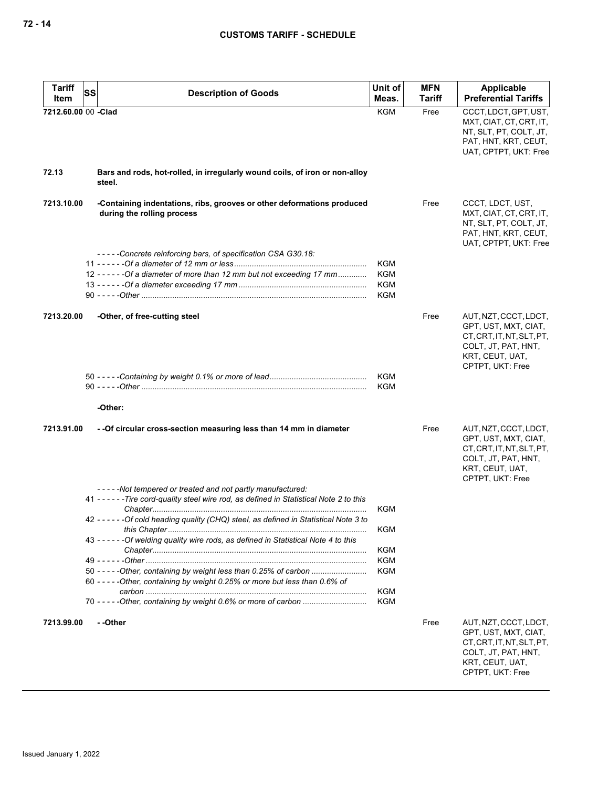| <b>Tariff</b>       |                                                                                                                                                                                                                                                                                                                                                                                                                                                                                                  | Unit of                                                                                 | <b>MFN</b>    | Applicable                                                                                                                               |
|---------------------|--------------------------------------------------------------------------------------------------------------------------------------------------------------------------------------------------------------------------------------------------------------------------------------------------------------------------------------------------------------------------------------------------------------------------------------------------------------------------------------------------|-----------------------------------------------------------------------------------------|---------------|------------------------------------------------------------------------------------------------------------------------------------------|
| <b>SS</b><br>Item   | <b>Description of Goods</b>                                                                                                                                                                                                                                                                                                                                                                                                                                                                      | Meas.                                                                                   | <b>Tariff</b> | <b>Preferential Tariffs</b>                                                                                                              |
| 7212.60.00 00 -Clad |                                                                                                                                                                                                                                                                                                                                                                                                                                                                                                  | <b>KGM</b>                                                                              | Free          | CCCT, LDCT, GPT, UST,<br>MXT, CIAT, CT, CRT, IT,<br>NT, SLT, PT, COLT, JT,<br>PAT, HNT, KRT, CEUT,<br>UAT, CPTPT, UKT: Free              |
| 72.13               | Bars and rods, hot-rolled, in irregularly wound coils, of iron or non-alloy<br>steel.                                                                                                                                                                                                                                                                                                                                                                                                            |                                                                                         |               |                                                                                                                                          |
| 7213.10.00          | -Containing indentations, ribs, grooves or other deformations produced<br>during the rolling process                                                                                                                                                                                                                                                                                                                                                                                             |                                                                                         | Free          | CCCT, LDCT, UST,<br>MXT, CIAT, CT, CRT, IT,<br>NT, SLT, PT, COLT, JT,<br>PAT, HNT, KRT, CEUT,<br>UAT, CPTPT, UKT: Free                   |
|                     | -----Concrete reinforcing bars, of specification CSA G30.18:                                                                                                                                                                                                                                                                                                                                                                                                                                     |                                                                                         |               |                                                                                                                                          |
|                     | 12 - - - - - - Of a diameter of more than 12 mm but not exceeding 17 mm                                                                                                                                                                                                                                                                                                                                                                                                                          | <b>KGM</b><br><b>KGM</b><br><b>KGM</b><br><b>KGM</b>                                    |               |                                                                                                                                          |
| 7213.20.00          | -Other, of free-cutting steel                                                                                                                                                                                                                                                                                                                                                                                                                                                                    |                                                                                         | Free          | AUT, NZT, CCCT, LDCT,<br>GPT, UST, MXT, CIAT,<br>CT, CRT, IT, NT, SLT, PT,<br>COLT, JT, PAT, HNT,<br>KRT, CEUT, UAT,<br>CPTPT, UKT: Free |
|                     | -Other:                                                                                                                                                                                                                                                                                                                                                                                                                                                                                          | <b>KGM</b><br><b>KGM</b>                                                                |               |                                                                                                                                          |
| 7213.91.00          | - - Of circular cross-section measuring less than 14 mm in diameter                                                                                                                                                                                                                                                                                                                                                                                                                              |                                                                                         | Free          | AUT, NZT, CCCT, LDCT,<br>GPT, UST, MXT, CIAT,<br>CT, CRT, IT, NT, SLT, PT,<br>COLT, JT, PAT, HNT,<br>KRT, CEUT, UAT,<br>CPTPT, UKT: Free |
|                     | -----Not tempered or treated and not partly manufactured:<br>41 - - - - - - Tire cord-quality steel wire rod, as defined in Statistical Note 2 to this<br>42 - - - - - - Of cold heading quality (CHQ) steel, as defined in Statistical Note 3 to<br>43 - - - - - - Of welding quality wire rods, as defined in Statistical Note 4 to this<br>50 - - - - - Other, containing by weight less than 0.25% of carbon<br>60 - - - - - Other, containing by weight 0.25% or more but less than 0.6% of | <b>KGM</b><br>KGM<br><b>KGM</b><br><b>KGM</b><br><b>KGM</b><br><b>KGM</b><br><b>KGM</b> |               |                                                                                                                                          |
| 7213.99.00          | - -Other                                                                                                                                                                                                                                                                                                                                                                                                                                                                                         |                                                                                         | Free          | AUT, NZT, CCCT, LDCT,<br>GPT, UST, MXT, CIAT,<br>CT, CRT, IT, NT, SLT, PT,<br>COLT, JT, PAT, HNT,<br>KRT, CEUT, UAT,<br>CPTPT, UKT: Free |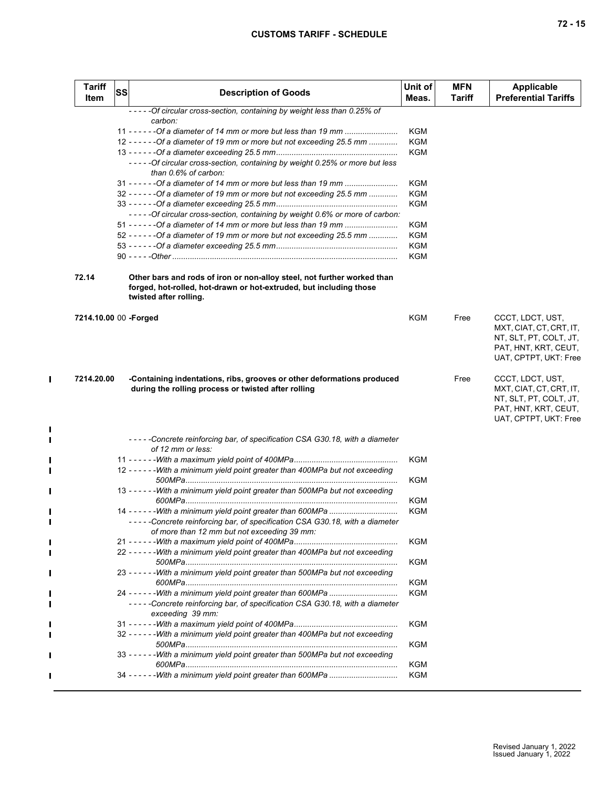| 72 - 15 |  |
|---------|--|
|         |  |
|         |  |
|         |  |

| Item                  | <b>SS</b> | <b>Description of Goods</b>                                                                                                                                             | Unit of<br>Meas.  | <b>MFN</b><br><b>Tariff</b> | <b>Applicable</b><br><b>Preferential Tariffs</b>                                                   |
|-----------------------|-----------|-------------------------------------------------------------------------------------------------------------------------------------------------------------------------|-------------------|-----------------------------|----------------------------------------------------------------------------------------------------|
|                       |           | -----Of circular cross-section, containing by weight less than 0.25% of<br>carbon:                                                                                      |                   |                             |                                                                                                    |
|                       |           | 11 - - - - - - Of a diameter of 14 mm or more but less than 19 mm                                                                                                       | KGM               |                             |                                                                                                    |
|                       |           | 12 - - - - - - Of a diameter of 19 mm or more but not exceeding 25.5 mm                                                                                                 | <b>KGM</b>        |                             |                                                                                                    |
|                       |           |                                                                                                                                                                         | KGM               |                             |                                                                                                    |
|                       |           | -----Of circular cross-section, containing by weight 0.25% or more but less<br>than 0.6% of carbon:                                                                     |                   |                             |                                                                                                    |
|                       |           | 31 - - - - - - Of a diameter of 14 mm or more but less than 19 mm                                                                                                       | KGM               |                             |                                                                                                    |
|                       |           | $32 - - - - -$ - Of a diameter of 19 mm or more but not exceeding 25.5 mm                                                                                               | KGM               |                             |                                                                                                    |
|                       |           |                                                                                                                                                                         | KGM               |                             |                                                                                                    |
|                       |           | - - - - - Of circular cross-section, containing by weight 0.6% or more of carbon:                                                                                       |                   |                             |                                                                                                    |
|                       |           |                                                                                                                                                                         | KGM               |                             |                                                                                                    |
|                       |           | 52 - - - - - - Of a diameter of 19 mm or more but not exceeding 25.5 mm                                                                                                 | <b>KGM</b>        |                             |                                                                                                    |
|                       |           |                                                                                                                                                                         | KGM               |                             |                                                                                                    |
|                       |           |                                                                                                                                                                         | KGM               |                             |                                                                                                    |
| 72.14                 |           | Other bars and rods of iron or non-alloy steel, not further worked than<br>forged, hot-rolled, hot-drawn or hot-extruded, but including those<br>twisted after rolling. |                   |                             |                                                                                                    |
| 7214.10.00 00 -Forged |           |                                                                                                                                                                         | <b>KGM</b>        | Free                        | CCCT, LDCT, UST,                                                                                   |
|                       |           |                                                                                                                                                                         |                   |                             | MXT, CIAT, CT, CRT, IT,<br>NT, SLT, PT, COLT, JT,<br>PAT, HNT, KRT, CEUT,<br>UAT, CPTPT, UKT: Free |
| 7214.20.00            |           | -Containing indentations, ribs, grooves or other deformations produced<br>during the rolling process or twisted after rolling                                           |                   | Free                        | CCCT, LDCT, UST,<br>MXT, CIAT, CT, CRT, IT,                                                        |
|                       |           |                                                                                                                                                                         |                   |                             | NT, SLT, PT, COLT, JT,<br>PAT, HNT, KRT, CEUT,<br>UAT, CPTPT, UKT: Free                            |
|                       |           | -----Concrete reinforcing bar, of specification CSA G30.18, with a diameter                                                                                             |                   |                             |                                                                                                    |
|                       |           | of 12 mm or less:                                                                                                                                                       |                   |                             |                                                                                                    |
|                       |           |                                                                                                                                                                         | KGM               |                             |                                                                                                    |
|                       |           | 12 - - - - - - With a minimum yield point greater than 400MPa but not exceeding                                                                                         |                   |                             |                                                                                                    |
|                       |           |                                                                                                                                                                         | KGM               |                             |                                                                                                    |
|                       |           | 13 - - - - - - With a minimum yield point greater than 500MPa but not exceeding                                                                                         |                   |                             |                                                                                                    |
|                       |           |                                                                                                                                                                         | KGM               |                             |                                                                                                    |
|                       |           | -----Concrete reinforcing bar, of specification CSA G30.18, with a diameter                                                                                             | KGM               |                             |                                                                                                    |
|                       |           | of more than 12 mm but not exceeding 39 mm:                                                                                                                             |                   |                             |                                                                                                    |
|                       |           |                                                                                                                                                                         | KGM               |                             |                                                                                                    |
|                       |           | 22 - - - - - - With a minimum yield point greater than 400MPa but not exceeding                                                                                         | KGM               |                             |                                                                                                    |
|                       |           | 23 - - - - - - With a minimum yield point greater than 500MPa but not exceeding                                                                                         |                   |                             |                                                                                                    |
|                       |           |                                                                                                                                                                         | KGM               |                             |                                                                                                    |
|                       |           |                                                                                                                                                                         | KGM               |                             |                                                                                                    |
|                       |           | -----Concrete reinforcing bar, of specification CSA G30.18, with a diameter<br>exceeding 39 mm:                                                                         |                   |                             |                                                                                                    |
|                       |           |                                                                                                                                                                         | <b>KGM</b>        |                             |                                                                                                    |
|                       |           | 32 - - - - - - With a minimum yield point greater than 400MPa but not exceeding                                                                                         |                   |                             |                                                                                                    |
|                       |           |                                                                                                                                                                         | <b>KGM</b>        |                             |                                                                                                    |
|                       |           | 33 - - - - - - With a minimum yield point greater than 500MPa but not exceeding                                                                                         |                   |                             |                                                                                                    |
|                       |           |                                                                                                                                                                         | KGM<br><b>KGM</b> |                             |                                                                                                    |

 $\mathbf{I}$ 

 $\blacksquare$ П П

П

П  $\blacksquare$ 

> П П

 $\blacksquare$ L Г

 $\blacksquare$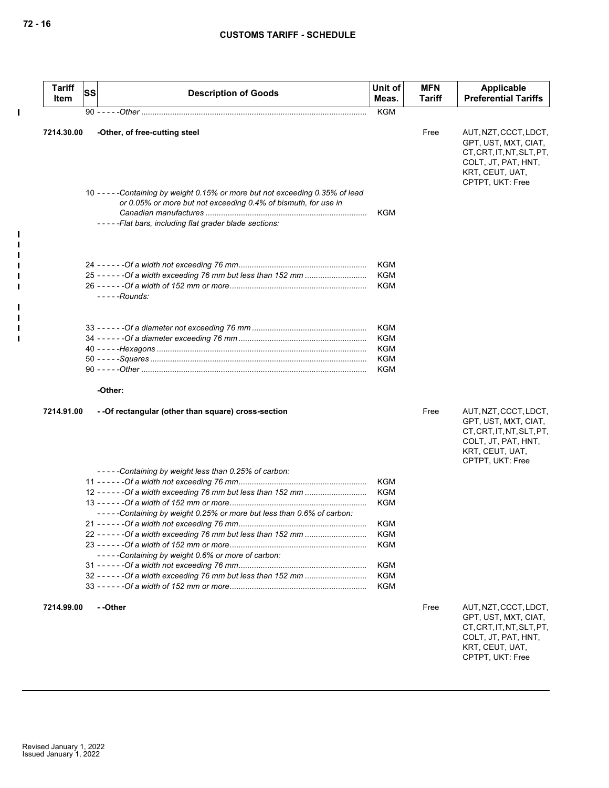| <b>Tariff</b><br>Item | SS | <b>Description of Goods</b>                                                                                                                                                                           | Unit of<br>Meas. | <b>MFN</b><br>Tariff | Applicable<br><b>Preferential Tariffs</b>                                                                                                |
|-----------------------|----|-------------------------------------------------------------------------------------------------------------------------------------------------------------------------------------------------------|------------------|----------------------|------------------------------------------------------------------------------------------------------------------------------------------|
|                       |    |                                                                                                                                                                                                       | <b>KGM</b>       |                      |                                                                                                                                          |
| 7214.30.00            |    | -Other, of free-cutting steel                                                                                                                                                                         |                  | Free                 | AUT, NZT, CCCT, LDCT,<br>GPT, UST, MXT, CIAT,<br>CT, CRT, IT, NT, SLT, PT,<br>COLT, JT, PAT, HNT,<br>KRT, CEUT, UAT,<br>CPTPT, UKT: Free |
|                       |    | 10 -----Containing by weight 0.15% or more but not exceeding 0.35% of lead<br>or 0.05% or more but not exceeding 0.4% of bismuth, for use in<br>-----Flat bars, including flat grader blade sections: | KGM              |                      |                                                                                                                                          |
|                       |    |                                                                                                                                                                                                       | KGM              |                      |                                                                                                                                          |
|                       |    |                                                                                                                                                                                                       | KGM              |                      |                                                                                                                                          |
|                       |    | - - - - -Rounds:                                                                                                                                                                                      | <b>KGM</b>       |                      |                                                                                                                                          |
|                       |    |                                                                                                                                                                                                       | KGM              |                      |                                                                                                                                          |
|                       |    |                                                                                                                                                                                                       | KGM              |                      |                                                                                                                                          |
|                       |    |                                                                                                                                                                                                       | KGM              |                      |                                                                                                                                          |
|                       |    |                                                                                                                                                                                                       | KGM<br>KGM       |                      |                                                                                                                                          |
|                       |    | -Other:                                                                                                                                                                                               |                  |                      |                                                                                                                                          |
| 7214.91.00            |    | - - Of rectangular (other than square) cross-section                                                                                                                                                  |                  | Free                 | AUT, NZT, CCCT, LDCT,<br>GPT, UST, MXT, CIAT,<br>CT, CRT, IT, NT, SLT, PT,<br>COLT, JT, PAT, HNT,<br>KRT, CEUT, UAT,                     |
|                       |    | -----Containing by weight less than 0.25% of carbon:                                                                                                                                                  |                  |                      | CPTPT, UKT: Free                                                                                                                         |
|                       |    |                                                                                                                                                                                                       | KGM              |                      |                                                                                                                                          |
|                       |    |                                                                                                                                                                                                       | KGM              |                      |                                                                                                                                          |
|                       |    |                                                                                                                                                                                                       | KGM              |                      |                                                                                                                                          |
|                       |    | -----Containing by weight 0.25% or more but less than 0.6% of carbon:                                                                                                                                 |                  |                      |                                                                                                                                          |
|                       |    |                                                                                                                                                                                                       | KGM              |                      |                                                                                                                                          |
|                       |    |                                                                                                                                                                                                       | KGM              |                      |                                                                                                                                          |
|                       |    | -----Containing by weight 0.6% or more of carbon:                                                                                                                                                     | <b>KGM</b>       |                      |                                                                                                                                          |
|                       |    |                                                                                                                                                                                                       | KGM              |                      |                                                                                                                                          |
|                       |    |                                                                                                                                                                                                       | KGM              |                      |                                                                                                                                          |
|                       |    |                                                                                                                                                                                                       | KGM              |                      |                                                                                                                                          |
| 7214.99.00            |    | --Other                                                                                                                                                                                               |                  | Free                 | AUT, NZT, CCCT, LDCT,<br>GPT, UST, MXT, CIAT,<br>CT, CRT, IT, NT, SLT, PT,<br>COLT, JT, PAT, HNT,                                        |

COLT, JT, PAT, HNT, KRT, CEUT, UAT, CPTPT, UKT: Free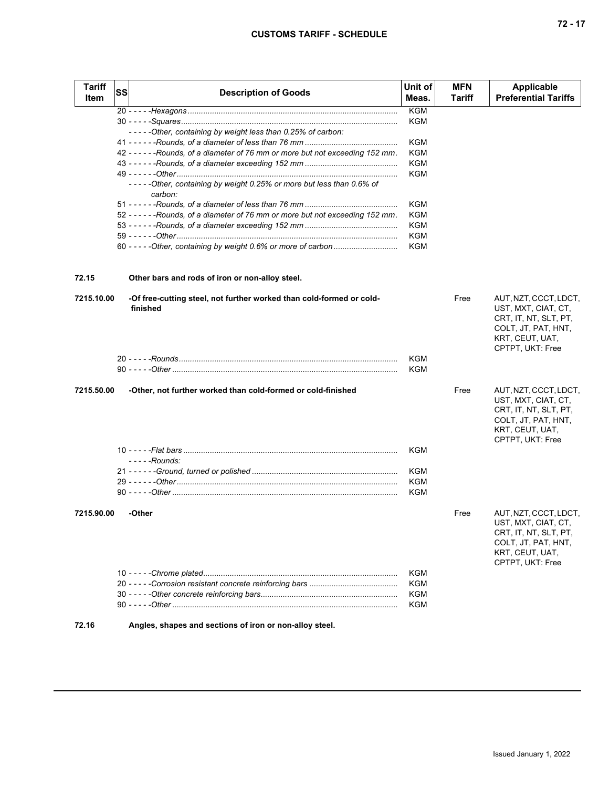| <b>Tariff</b><br>Item | <b>SS</b> | <b>Description of Goods</b>                                                     | Unit of<br>Meas.         | <b>MFN</b><br><b>Tariff</b> | <b>Applicable</b><br><b>Preferential Tariffs</b> |
|-----------------------|-----------|---------------------------------------------------------------------------------|--------------------------|-----------------------------|--------------------------------------------------|
|                       |           |                                                                                 | <b>KGM</b>               |                             |                                                  |
|                       |           |                                                                                 | <b>KGM</b>               |                             |                                                  |
|                       |           | -----Other, containing by weight less than 0.25% of carbon:                     |                          |                             |                                                  |
|                       |           |                                                                                 | <b>KGM</b>               |                             |                                                  |
|                       |           | 42 - - - - - - Rounds, of a diameter of 76 mm or more but not exceeding 152 mm. | <b>KGM</b>               |                             |                                                  |
|                       |           |                                                                                 | <b>KGM</b><br><b>KGM</b> |                             |                                                  |
|                       |           | -----Other, containing by weight 0.25% or more but less than 0.6% of            |                          |                             |                                                  |
|                       |           | carbon:                                                                         |                          |                             |                                                  |
|                       |           |                                                                                 | <b>KGM</b>               |                             |                                                  |
|                       |           | 52 - - - - - - Rounds, of a diameter of 76 mm or more but not exceeding 152 mm. | <b>KGM</b>               |                             |                                                  |
|                       |           |                                                                                 | KGM                      |                             |                                                  |
|                       |           |                                                                                 | <b>KGM</b>               |                             |                                                  |
|                       |           | 60 - - - - - Other, containing by weight 0.6% or more of carbon                 | <b>KGM</b>               |                             |                                                  |
| 72.15                 |           | Other bars and rods of iron or non-alloy steel.                                 |                          |                             |                                                  |
| 7215.10.00            |           | -Of free-cutting steel, not further worked than cold-formed or cold-            |                          | Free                        | AUT, NZT, CCCT, LDCT,                            |
|                       |           | finished                                                                        |                          |                             | UST, MXT, CIAT, CT,                              |
|                       |           |                                                                                 |                          |                             | CRT, IT, NT, SLT, PT,                            |
|                       |           |                                                                                 |                          |                             | COLT, JT, PAT, HNT,                              |
|                       |           |                                                                                 |                          |                             | KRT, CEUT, UAT,                                  |
|                       |           |                                                                                 | <b>KGM</b>               |                             | CPTPT, UKT: Free                                 |
|                       |           |                                                                                 | KGM                      |                             |                                                  |
|                       |           |                                                                                 |                          |                             |                                                  |
| 7215.50.00            |           | -Other, not further worked than cold-formed or cold-finished                    |                          | Free                        | AUT, NZT, CCCT, LDCT,                            |
|                       |           |                                                                                 |                          |                             | UST, MXT, CIAT, CT,                              |
|                       |           |                                                                                 |                          |                             | CRT, IT, NT, SLT, PT,                            |
|                       |           |                                                                                 |                          |                             | COLT, JT, PAT, HNT,                              |
|                       |           |                                                                                 |                          |                             | KRT, CEUT, UAT,                                  |
|                       |           |                                                                                 |                          |                             | CPTPT, UKT: Free                                 |
|                       |           | $---$ Rounds:                                                                   | KGM                      |                             |                                                  |
|                       |           |                                                                                 | KGM                      |                             |                                                  |
|                       |           |                                                                                 | KGM                      |                             |                                                  |
|                       |           |                                                                                 | KGM                      |                             |                                                  |
|                       |           |                                                                                 |                          |                             |                                                  |
| 7215.90.00            |           | -Other                                                                          |                          | Free                        | AUT, NZT, CCCT, LDCT,                            |
|                       |           |                                                                                 |                          |                             | UST, MXT, CIAT, CT,                              |
|                       |           |                                                                                 |                          |                             | CRT, IT, NT, SLT, PT,                            |
|                       |           |                                                                                 |                          |                             | COLT, JT, PAT, HNT,                              |
|                       |           |                                                                                 |                          |                             | KRT, CEUT, UAT,<br>CPTPT, UKT: Free              |
|                       |           |                                                                                 | <b>KGM</b>               |                             |                                                  |
|                       |           |                                                                                 | KGM                      |                             |                                                  |
|                       |           |                                                                                 | <b>KGM</b>               |                             |                                                  |
|                       |           |                                                                                 | <b>KGM</b>               |                             |                                                  |
| 72.16                 |           | Angles, shapes and sections of iron or non-alloy steel.                         |                          |                             |                                                  |
|                       |           |                                                                                 |                          |                             |                                                  |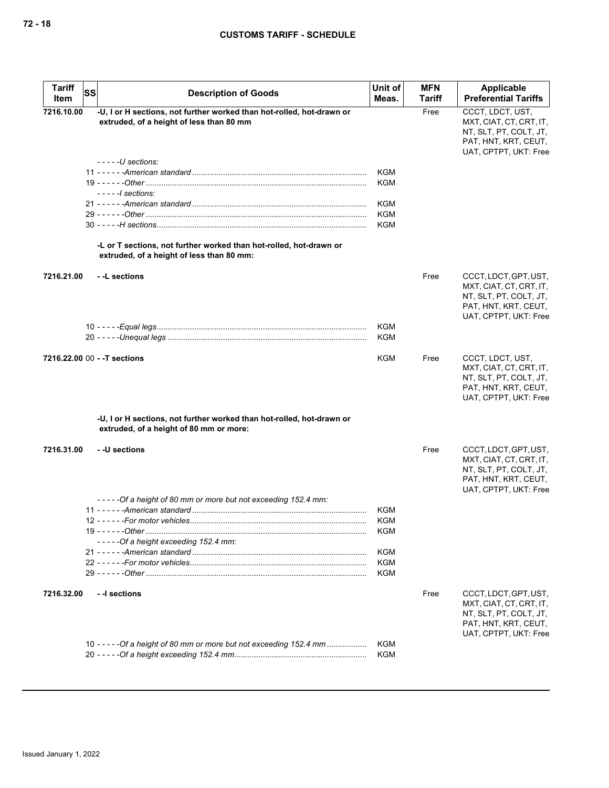| <b>Tariff</b><br>Item | <b>SS</b><br><b>Description of Goods</b>                                                                          | Unit of<br>Meas. | <b>MFN</b><br><b>Tariff</b> | Applicable<br><b>Preferential Tariffs</b>                                                                                   |
|-----------------------|-------------------------------------------------------------------------------------------------------------------|------------------|-----------------------------|-----------------------------------------------------------------------------------------------------------------------------|
| 7216.10.00            | -U, I or H sections, not further worked than hot-rolled, hot-drawn or<br>extruded, of a height of less than 80 mm |                  | Free                        | CCCT, LDCT, UST,<br>MXT, CIAT, CT, CRT, IT,<br>NT, SLT, PT, COLT, JT,<br>PAT, HNT, KRT, CEUT,<br>UAT, CPTPT, UKT: Free      |
|                       | $---U$ sections:                                                                                                  |                  |                             |                                                                                                                             |
|                       |                                                                                                                   | KGM              |                             |                                                                                                                             |
|                       |                                                                                                                   | KGM              |                             |                                                                                                                             |
|                       | $-- -1$ sections:                                                                                                 |                  |                             |                                                                                                                             |
|                       |                                                                                                                   | KGM              |                             |                                                                                                                             |
|                       |                                                                                                                   | KGM              |                             |                                                                                                                             |
|                       |                                                                                                                   | KGM              |                             |                                                                                                                             |
|                       | -L or T sections, not further worked than hot-rolled, hot-drawn or<br>extruded, of a height of less than 80 mm:   |                  |                             |                                                                                                                             |
| 7216.21.00            | - -L sections                                                                                                     | KGM              | Free                        | CCCT, LDCT, GPT, UST,<br>MXT, CIAT, CT, CRT, IT,<br>NT, SLT, PT, COLT, JT,<br>PAT, HNT, KRT, CEUT,<br>UAT, CPTPT, UKT: Free |
|                       |                                                                                                                   | KGM              |                             |                                                                                                                             |
|                       | 7216.22.00 00 - - T sections                                                                                      | KGM              | Free                        | CCCT, LDCT, UST,                                                                                                            |
|                       |                                                                                                                   |                  |                             | MXT, CIAT, CT, CRT, IT,<br>NT, SLT, PT, COLT, JT,<br>PAT, HNT, KRT, CEUT,<br>UAT, CPTPT, UKT: Free                          |
|                       | -U, I or H sections, not further worked than hot-rolled, hot-drawn or<br>extruded, of a height of 80 mm or more:  |                  |                             |                                                                                                                             |
| 7216.31.00            | - -U sections<br>-----Of a height of 80 mm or more but not exceeding 152.4 mm:                                    |                  | Free                        | CCCT, LDCT, GPT, UST,<br>MXT, CIAT, CT, CRT, IT,<br>NT, SLT, PT, COLT, JT,<br>PAT, HNT, KRT, CEUT,<br>UAT, CPTPT, UKT: Free |
|                       |                                                                                                                   | KGM              |                             |                                                                                                                             |
|                       |                                                                                                                   | KGM              |                             |                                                                                                                             |
|                       |                                                                                                                   | <b>KGM</b>       |                             |                                                                                                                             |
|                       | -----Of a height exceeding 152.4 mm:                                                                              |                  |                             |                                                                                                                             |
|                       |                                                                                                                   | <b>KGM</b>       |                             |                                                                                                                             |
|                       |                                                                                                                   | KGM              |                             |                                                                                                                             |
|                       |                                                                                                                   | KGM              |                             |                                                                                                                             |
| 7216.32.00            | - -I sections                                                                                                     |                  | Free                        | CCCT, LDCT, GPT, UST,<br>MXT, CIAT, CT, CRT, IT,<br>NT, SLT, PT, COLT, JT,<br>PAT, HNT, KRT, CEUT,<br>UAT, CPTPT, UKT: Free |
|                       | 10 - - - - - Of a height of 80 mm or more but not exceeding 152.4 mm                                              | KGM              |                             |                                                                                                                             |
|                       |                                                                                                                   | KGM              |                             |                                                                                                                             |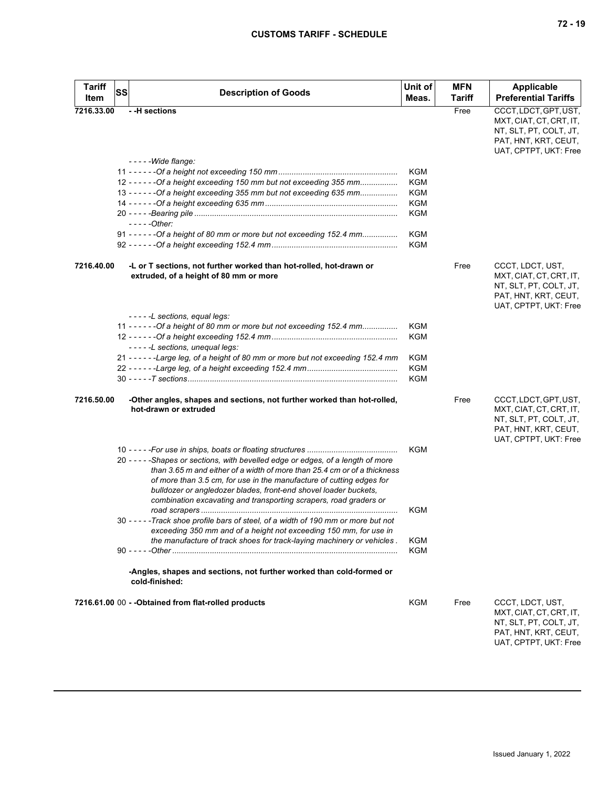| <b>Tariff</b><br>Item | SS | <b>Description of Goods</b>                                                                                                                                                                                                                                                                                                                                                    | Unit of<br>Meas. | <b>MFN</b><br><b>Tariff</b> | Applicable<br><b>Preferential Tariffs</b>                                                                                   |
|-----------------------|----|--------------------------------------------------------------------------------------------------------------------------------------------------------------------------------------------------------------------------------------------------------------------------------------------------------------------------------------------------------------------------------|------------------|-----------------------------|-----------------------------------------------------------------------------------------------------------------------------|
| 7216.33.00            |    | --H sections                                                                                                                                                                                                                                                                                                                                                                   |                  | Free                        | CCCT, LDCT, GPT, UST,<br>MXT, CIAT, CT, CRT, IT,<br>NT, SLT, PT, COLT, JT,<br>PAT, HNT, KRT, CEUT,<br>UAT, CPTPT, UKT: Free |
|                       |    | $---Wideflange:$                                                                                                                                                                                                                                                                                                                                                               | KGM              |                             |                                                                                                                             |
|                       |    |                                                                                                                                                                                                                                                                                                                                                                                | KGM              |                             |                                                                                                                             |
|                       |    | 12 - - - - - - Of a height exceeding 150 mm but not exceeding 355 mm<br>13 - - - - - - Of a height exceeding 355 mm but not exceeding 635 mm                                                                                                                                                                                                                                   | KGM              |                             |                                                                                                                             |
|                       |    |                                                                                                                                                                                                                                                                                                                                                                                | KGM              |                             |                                                                                                                             |
|                       |    |                                                                                                                                                                                                                                                                                                                                                                                | KGM              |                             |                                                                                                                             |
|                       |    | $---Other:$                                                                                                                                                                                                                                                                                                                                                                    |                  |                             |                                                                                                                             |
|                       |    | 91 - - - - - - Of a height of 80 mm or more but not exceeding 152.4 mm                                                                                                                                                                                                                                                                                                         | KGM              |                             |                                                                                                                             |
|                       |    |                                                                                                                                                                                                                                                                                                                                                                                | KGM              |                             |                                                                                                                             |
| 7216.40.00            |    | -L or T sections, not further worked than hot-rolled, hot-drawn or<br>extruded, of a height of 80 mm or more                                                                                                                                                                                                                                                                   |                  | Free                        | CCCT, LDCT, UST,<br>MXT, CIAT, CT, CRT, IT,<br>NT, SLT, PT, COLT, JT,<br>PAT, HNT, KRT, CEUT,<br>UAT, CPTPT, UKT: Free      |
|                       |    | -----L sections, equal legs:                                                                                                                                                                                                                                                                                                                                                   |                  |                             |                                                                                                                             |
|                       |    | 11 - - - - - - Of a height of 80 mm or more but not exceeding 152.4 mm                                                                                                                                                                                                                                                                                                         | KGM              |                             |                                                                                                                             |
|                       |    |                                                                                                                                                                                                                                                                                                                                                                                | KGM              |                             |                                                                                                                             |
|                       |    | -----L sections, unequal legs:                                                                                                                                                                                                                                                                                                                                                 |                  |                             |                                                                                                                             |
|                       |    | 21 - - - - - - Large leg, of a height of 80 mm or more but not exceeding 152.4 mm                                                                                                                                                                                                                                                                                              | KGM              |                             |                                                                                                                             |
|                       |    |                                                                                                                                                                                                                                                                                                                                                                                | <b>KGM</b>       |                             |                                                                                                                             |
|                       |    |                                                                                                                                                                                                                                                                                                                                                                                | KGM              |                             |                                                                                                                             |
| 7216.50.00            |    | -Other angles, shapes and sections, not further worked than hot-rolled,<br>hot-drawn or extruded                                                                                                                                                                                                                                                                               |                  | Free                        | CCCT, LDCT, GPT, UST,<br>MXT, CIAT, CT, CRT, IT,<br>NT, SLT, PT, COLT, JT,<br>PAT, HNT, KRT, CEUT,<br>UAT, CPTPT, UKT: Free |
|                       |    |                                                                                                                                                                                                                                                                                                                                                                                | KGM              |                             |                                                                                                                             |
|                       |    | 20 - - - - - Shapes or sections, with bevelled edge or edges, of a length of more<br>than 3.65 m and either of a width of more than 25.4 cm or of a thickness<br>of more than 3.5 cm, for use in the manufacture of cutting edges for<br>bulldozer or angledozer blades, front-end shovel loader buckets,<br>combination excavating and transporting scrapers, road graders or |                  |                             |                                                                                                                             |
|                       |    |                                                                                                                                                                                                                                                                                                                                                                                | KGM              |                             |                                                                                                                             |
|                       |    | 30 - - - - - Track shoe profile bars of steel, of a width of 190 mm or more but not<br>exceeding 350 mm and of a height not exceeding 150 mm, for use in                                                                                                                                                                                                                       |                  |                             |                                                                                                                             |
|                       |    | the manufacture of track shoes for track-laying machinery or vehicles.                                                                                                                                                                                                                                                                                                         | KGM              |                             |                                                                                                                             |
|                       |    |                                                                                                                                                                                                                                                                                                                                                                                | KGM              |                             |                                                                                                                             |
|                       |    | -Angles, shapes and sections, not further worked than cold-formed or<br>cold-finished:                                                                                                                                                                                                                                                                                         |                  |                             |                                                                                                                             |
|                       |    | 7216.61.00 00 - - Obtained from flat-rolled products                                                                                                                                                                                                                                                                                                                           | KGM              | Free                        | CCCT, LDCT, UST,<br>MXT, CIAT, CT, CRT, IT,<br>NT, SLT, PT, COLT, JT,<br>PAT, HNT, KRT, CEUT,<br>UAT, CPTPT, UKT: Free      |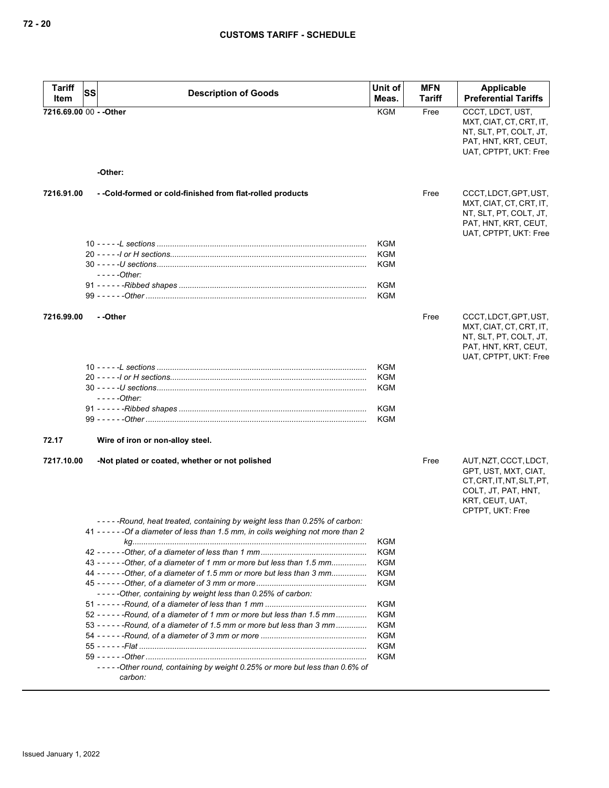| <b>Tariff</b> | <b>Description of Goods</b>                                                         | Unit of    | <b>MFN</b>    | Applicable                                                                                                                               |
|---------------|-------------------------------------------------------------------------------------|------------|---------------|------------------------------------------------------------------------------------------------------------------------------------------|
| Item          | SS                                                                                  | Meas.      | <b>Tariff</b> | <b>Preferential Tariffs</b>                                                                                                              |
|               | 7216.69.00 00 - - Other                                                             | <b>KGM</b> | Free          | CCCT, LDCT, UST,<br>MXT, CIAT, CT, CRT, IT,<br>NT, SLT, PT, COLT, JT,<br>PAT, HNT, KRT, CEUT,<br>UAT, CPTPT, UKT: Free                   |
|               | -Other:                                                                             |            |               |                                                                                                                                          |
| 7216.91.00    | - - Cold-formed or cold-finished from flat-rolled products                          |            | Free          | CCCT, LDCT, GPT, UST,<br>MXT, CIAT, CT, CRT, IT,<br>NT, SLT, PT, COLT, JT,<br>PAT, HNT, KRT, CEUT,<br>UAT, CPTPT, UKT: Free              |
|               |                                                                                     | KGM        |               |                                                                                                                                          |
|               |                                                                                     | KGM        |               |                                                                                                                                          |
|               |                                                                                     | KGM        |               |                                                                                                                                          |
|               | $---Other:$                                                                         |            |               |                                                                                                                                          |
|               |                                                                                     | KGM        |               |                                                                                                                                          |
|               |                                                                                     | KGM        |               |                                                                                                                                          |
| 7216.99.00    | --Other                                                                             |            | Free          | CCCT, LDCT, GPT, UST,<br>MXT, CIAT, CT, CRT, IT,                                                                                         |
|               |                                                                                     |            |               | NT, SLT, PT, COLT, JT,<br>PAT, HNT, KRT, CEUT,<br>UAT, CPTPT, UKT: Free                                                                  |
|               |                                                                                     | <b>KGM</b> |               |                                                                                                                                          |
|               |                                                                                     | <b>KGM</b> |               |                                                                                                                                          |
|               |                                                                                     | <b>KGM</b> |               |                                                                                                                                          |
|               | $---Other:$                                                                         |            |               |                                                                                                                                          |
|               |                                                                                     | KGM        |               |                                                                                                                                          |
|               |                                                                                     | <b>KGM</b> |               |                                                                                                                                          |
| 72.17         | Wire of iron or non-alloy steel.                                                    |            |               |                                                                                                                                          |
| 7217.10.00    | -Not plated or coated, whether or not polished                                      |            | Free          | AUT, NZT, CCCT, LDCT,<br>GPT, UST, MXT, CIAT,<br>CT, CRT, IT, NT, SLT, PT,<br>COLT, JT, PAT, HNT,<br>KRT, CEUT, UAT,<br>CPTPT, UKT: Free |
|               | -----Round, heat treated, containing by weight less than 0.25% of carbon:           |            |               |                                                                                                                                          |
|               | 41 - - - - - - Of a diameter of less than 1.5 mm, in coils weighing not more than 2 |            |               |                                                                                                                                          |
|               |                                                                                     | KGM        |               |                                                                                                                                          |
|               |                                                                                     | KGM        |               |                                                                                                                                          |
|               | 43 - - - - - - Other, of a diameter of 1 mm or more but less than 1.5 mm            | KGM        |               |                                                                                                                                          |
|               | 44 - - - - - - Other, of a diameter of 1.5 mm or more but less than 3 mm            | KGM        |               |                                                                                                                                          |
|               |                                                                                     | KGM        |               |                                                                                                                                          |
|               | -----Other, containing by weight less than 0.25% of carbon:                         |            |               |                                                                                                                                          |
|               |                                                                                     | <b>KGM</b> |               |                                                                                                                                          |
|               | 52 - - - - - - Round, of a diameter of 1 mm or more but less than 1.5 mm            | <b>KGM</b> |               |                                                                                                                                          |
|               | 53 - - - - - - Round, of a diameter of 1.5 mm or more but less than 3 mm            | KGM        |               |                                                                                                                                          |
|               |                                                                                     | KGM        |               |                                                                                                                                          |
|               |                                                                                     | KGM        |               |                                                                                                                                          |
|               | -----Other round, containing by weight 0.25% or more but less than 0.6% of          | KGM        |               |                                                                                                                                          |
|               | carbon:                                                                             |            |               |                                                                                                                                          |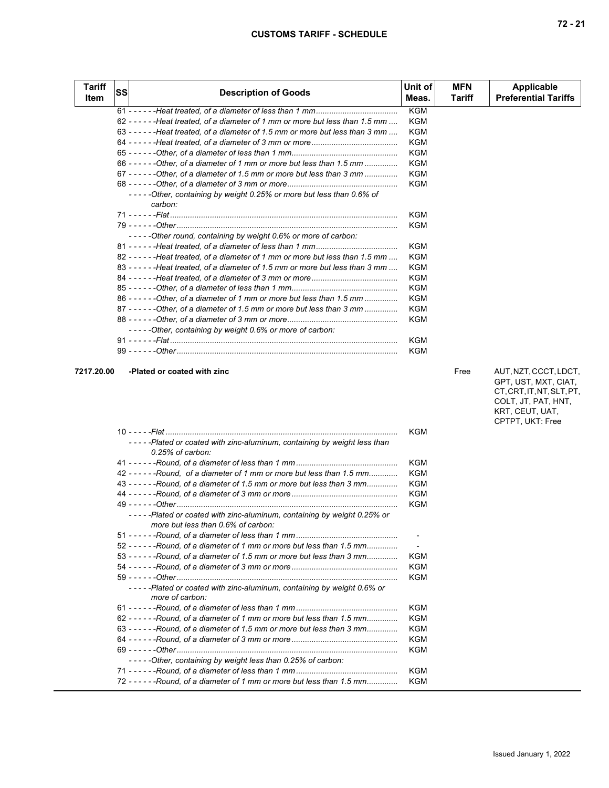| <b>Tariff</b><br>Item | <b>SS</b> | <b>Description of Goods</b>                                                         | Unit of<br>Meas. | <b>MFN</b><br>Tariff | <b>Applicable</b><br><b>Preferential Tariffs</b> |
|-----------------------|-----------|-------------------------------------------------------------------------------------|------------------|----------------------|--------------------------------------------------|
|                       |           |                                                                                     | <b>KGM</b>       |                      |                                                  |
|                       |           | 62 - - - - - - - Heat treated, of a diameter of 1 mm or more but less than 1.5 mm   | <b>KGM</b>       |                      |                                                  |
|                       |           | 63 - - - - - - - - Heat treated, of a diameter of 1.5 mm or more but less than 3 mm | KGM              |                      |                                                  |
|                       |           |                                                                                     | <b>KGM</b>       |                      |                                                  |
|                       |           |                                                                                     | <b>KGM</b>       |                      |                                                  |
|                       |           | 66 - - - - - - - Other, of a diameter of 1 mm or more but less than 1.5 mm          | <b>KGM</b>       |                      |                                                  |
|                       |           | 67 - - - - - - - Other, of a diameter of 1.5 mm or more but less than 3 mm          | KGM              |                      |                                                  |
|                       |           |                                                                                     | KGM              |                      |                                                  |
|                       |           | -----Other, containing by weight 0.25% or more but less than 0.6% of<br>carbon:     |                  |                      |                                                  |
|                       |           |                                                                                     | <b>KGM</b>       |                      |                                                  |
|                       |           |                                                                                     | KGM              |                      |                                                  |
|                       |           | -----Other round, containing by weight 0.6% or more of carbon:                      |                  |                      |                                                  |
|                       |           |                                                                                     | <b>KGM</b>       |                      |                                                  |
|                       |           | 82 - - - - - - Heat treated, of a diameter of 1 mm or more but less than 1.5 mm     | <b>KGM</b>       |                      |                                                  |
|                       |           | 83 - - - - - - - Heat treated, of a diameter of 1.5 mm or more but less than 3 mm   | <b>KGM</b>       |                      |                                                  |
|                       |           |                                                                                     | <b>KGM</b>       |                      |                                                  |
|                       |           |                                                                                     | KGM              |                      |                                                  |
|                       |           | 86 - - - - - - Other, of a diameter of 1 mm or more but less than 1.5 mm            | KGM              |                      |                                                  |
|                       |           | 87 - - - - - - - Other, of a diameter of 1.5 mm or more but less than 3 mm          | KGM              |                      |                                                  |
|                       |           |                                                                                     | <b>KGM</b>       |                      |                                                  |
|                       |           | -----Other, containing by weight 0.6% or more of carbon:                            |                  |                      |                                                  |
|                       |           |                                                                                     | <b>KGM</b>       |                      |                                                  |
|                       |           |                                                                                     | KGM              |                      |                                                  |

# **7217.20.00 -Plated or coated with zinc Free** AUT, NZT, CCCT, LDCT,

GPT, UST, MXT, CIAT, CT, CRT, IT, NT, SLT, PT, COLT, JT, PAT, HNT, KRT, CEUT, UAT, CPTPT, UKT: Free

|                                                                                                               | KGM        |
|---------------------------------------------------------------------------------------------------------------|------------|
| -----Plated or coated with zinc-aluminum, containing by weight less than<br>$0.25\%$ of carbon:               |            |
|                                                                                                               | <b>KGM</b> |
| 42 - - - - - - Round, of a diameter of 1 mm or more but less than 1.5 mm                                      | <b>KGM</b> |
| 43 - - - - - - Round, of a diameter of 1.5 mm or more but less than 3 mm                                      | KGM        |
|                                                                                                               | <b>KGM</b> |
|                                                                                                               | <b>KGM</b> |
| -----Plated or coated with zinc-aluminum, containing by weight 0.25% or<br>more but less than 0.6% of carbon: |            |
|                                                                                                               | $\sim$     |
| 52 - - - - - - Round, of a diameter of 1 mm or more but less than 1.5 mm                                      | $\sim$     |
| 53 - - - - - - Round, of a diameter of 1.5 mm or more but less than 3 mm                                      | KGM        |
|                                                                                                               | <b>KGM</b> |
|                                                                                                               | KGM        |
| -----Plated or coated with zinc-aluminum, containing by weight 0.6% or<br>more of carbon:                     |            |
|                                                                                                               | <b>KGM</b> |
| 62 - - - - - - Round, of a diameter of 1 mm or more but less than 1.5 mm                                      | <b>KGM</b> |
| $63 - - - -$ -Round, of a diameter of 1.5 mm or more but less than 3 mm                                       | KGM        |
|                                                                                                               | KGM        |
|                                                                                                               | KGM        |
| -----Other, containing by weight less than 0.25% of carbon:                                                   |            |
|                                                                                                               | <b>KGM</b> |
| 72 - - - - - - Round, of a diameter of 1 mm or more but less than 1.5 mm                                      | KGM        |
|                                                                                                               |            |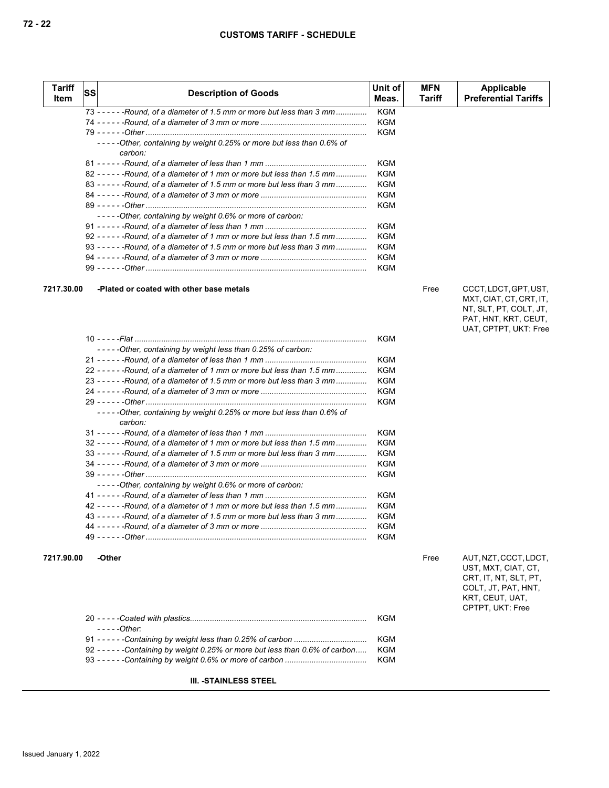| <b>Tariff</b><br>Item | lss | <b>Description of Goods</b>                                                     | Unit of<br>Meas. | <b>MFN</b><br>Tariff | Applicable<br><b>Preferential Tariffs</b> |
|-----------------------|-----|---------------------------------------------------------------------------------|------------------|----------------------|-------------------------------------------|
|                       |     | 73 - - - - - - Round, of a diameter of 1.5 mm or more but less than 3 mm        | KGM              |                      |                                           |
|                       |     |                                                                                 | <b>KGM</b>       |                      |                                           |
|                       |     |                                                                                 | <b>KGM</b>       |                      |                                           |
|                       |     | -----Other, containing by weight 0.25% or more but less than 0.6% of<br>carbon: |                  |                      |                                           |
|                       |     |                                                                                 | KGM              |                      |                                           |
|                       |     | $82 - - - -$ - Round, of a diameter of 1 mm or more but less than 1.5 mm        | KGM              |                      |                                           |
|                       |     | $83 - - - -$ - Round, of a diameter of 1.5 mm or more but less than 3 mm        | KGM              |                      |                                           |
|                       |     |                                                                                 | <b>KGM</b>       |                      |                                           |
|                       |     |                                                                                 | <b>KGM</b>       |                      |                                           |
|                       |     | -----Other, containing by weight 0.6% or more of carbon:                        |                  |                      |                                           |
|                       |     |                                                                                 | KGM              |                      |                                           |
|                       |     | 92 - - - - - - Round, of a diameter of 1 mm or more but less than 1.5 mm        | KGM              |                      |                                           |
|                       |     | 93 - - - - - - Round, of a diameter of 1.5 mm or more but less than 3 mm        | <b>KGM</b>       |                      |                                           |
|                       |     |                                                                                 | KGM              |                      |                                           |
|                       |     |                                                                                 | KGM              |                      |                                           |

## **7217.30.00 -Plated or coated with other base metals** Free CCCT, LDCT, GPT, UST,

MXT, CIAT, CT, CRT, IT, NT, SLT, PT, COLT, JT, PAT, HNT, KRT, CEUT, UAT, CPTPT, UKT: Free

|                                                                                 | KGM        |
|---------------------------------------------------------------------------------|------------|
| -----Other, containing by weight less than 0.25% of carbon:                     |            |
|                                                                                 | KGM        |
| 22 - - - - - - Round, of a diameter of 1 mm or more but less than 1.5 mm        | KGM        |
| 23 - - - - - - Round, of a diameter of 1.5 mm or more but less than 3 mm        | KGM        |
|                                                                                 | <b>KGM</b> |
|                                                                                 | KGM        |
| -----Other, containing by weight 0.25% or more but less than 0.6% of<br>carbon: |            |
|                                                                                 | KGM        |
| $32 - - - -$ -Round, of a diameter of 1 mm or more but less than 1.5 mm         | KGM        |
| 33 - - - - - - Round, of a diameter of 1.5 mm or more but less than 3 mm        | KGM        |
|                                                                                 | KGM        |
|                                                                                 | KGM        |
| -----Other, containing by weight 0.6% or more of carbon:                        |            |
|                                                                                 | KGM        |
| 42 - - - - - - Round, of a diameter of 1 mm or more but less than 1.5 mm        | KGM        |
| 43 - - - - - - Round, of a diameter of 1.5 mm or more but less than 3 mm        | KGM        |
|                                                                                 | <b>KGM</b> |
|                                                                                 | KGM        |
|                                                                                 |            |

**7217.90.00 -Other** Free AUT, NZT, CCCT, LDCT, UST, MXT, CIAT, CT, CRT, IT, NT, SLT, PT, COLT, JT, PAT, HNT, KRT, CEUT, UAT, CPTPT, UKT: Free

|                                                                                | KGM |
|--------------------------------------------------------------------------------|-----|
| $---Other$                                                                     |     |
|                                                                                | KGM |
| 92 - - - - - - Containing by weight 0.25% or more but less than 0.6% of carbon | KGM |
|                                                                                | KGM |

## **III. -STAINLESS STEEL**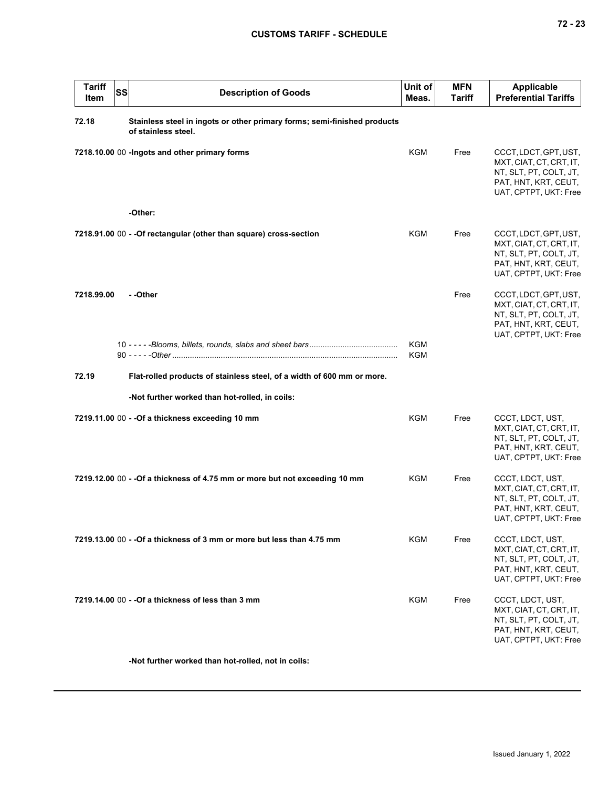|  |  | ×<br>۰. |
|--|--|---------|
|--|--|---------|

| <b>Tariff</b><br>Item | <b>SS</b> | <b>Description of Goods</b>                                                                     | Unit of<br>Meas. | <b>MFN</b><br>Tariff | <b>Applicable</b><br><b>Preferential Tariffs</b>                                                                            |
|-----------------------|-----------|-------------------------------------------------------------------------------------------------|------------------|----------------------|-----------------------------------------------------------------------------------------------------------------------------|
| 72.18                 |           | Stainless steel in ingots or other primary forms; semi-finished products<br>of stainless steel. |                  |                      |                                                                                                                             |
|                       |           | 7218.10.00 00 - Ingots and other primary forms                                                  | KGM              | Free                 | CCCT, LDCT, GPT, UST,<br>MXT, CIAT, CT, CRT, IT,<br>NT, SLT, PT, COLT, JT,<br>PAT, HNT, KRT, CEUT,<br>UAT, CPTPT, UKT: Free |
|                       |           | -Other:                                                                                         |                  |                      |                                                                                                                             |
|                       |           | 7218.91.00 00 - - Of rectangular (other than square) cross-section                              | KGM              | Free                 | CCCT, LDCT, GPT, UST,<br>MXT, CIAT, CT, CRT, IT,<br>NT, SLT, PT, COLT, JT,<br>PAT, HNT, KRT, CEUT,<br>UAT, CPTPT, UKT: Free |
| 7218.99.00            |           | - -Other                                                                                        |                  | Free                 | CCCT, LDCT, GPT, UST,<br>MXT, CIAT, CT, CRT, IT,<br>NT, SLT, PT, COLT, JT,<br>PAT, HNT, KRT, CEUT,<br>UAT, CPTPT, UKT: Free |
|                       |           |                                                                                                 | KGM              |                      |                                                                                                                             |
|                       |           |                                                                                                 | <b>KGM</b>       |                      |                                                                                                                             |
| 72.19                 |           | Flat-rolled products of stainless steel, of a width of 600 mm or more.                          |                  |                      |                                                                                                                             |
|                       |           | -Not further worked than hot-rolled, in coils:                                                  |                  |                      |                                                                                                                             |
|                       |           | 7219.11.00 00 - - Of a thickness exceeding 10 mm                                                | <b>KGM</b>       | Free                 | CCCT, LDCT, UST,<br>MXT, CIAT, CT, CRT, IT,<br>NT, SLT, PT, COLT, JT,<br>PAT, HNT, KRT, CEUT,<br>UAT, CPTPT, UKT: Free      |
|                       |           | 7219.12.00 00 - - Of a thickness of 4.75 mm or more but not exceeding 10 mm                     | KGM              | Free                 | CCCT, LDCT, UST,<br>MXT, CIAT, CT, CRT, IT,<br>NT, SLT, PT, COLT, JT,<br>PAT, HNT, KRT, CEUT,<br>UAT, CPTPT, UKT: Free      |
|                       |           | 7219.13.00 00 - - Of a thickness of 3 mm or more but less than 4.75 mm                          | <b>KGM</b>       | Free                 | CCCT, LDCT, UST,<br>MXT, CIAT, CT, CRT, IT,<br>NT, SLT, PT, COLT, JT,<br>PAT, HNT, KRT, CEUT,<br>UAT, CPTPT, UKT: Free      |
|                       |           | 7219.14.00 00 - - Of a thickness of less than 3 mm                                              | KGM              | Free                 | CCCT, LDCT, UST,<br>MXT, CIAT, CT, CRT, IT,<br>NT, SLT, PT, COLT, JT,<br>PAT, HNT, KRT, CEUT,<br>UAT, CPTPT, UKT: Free      |
|                       |           |                                                                                                 |                  |                      |                                                                                                                             |

**-Not further worked than hot-rolled, not in coils:**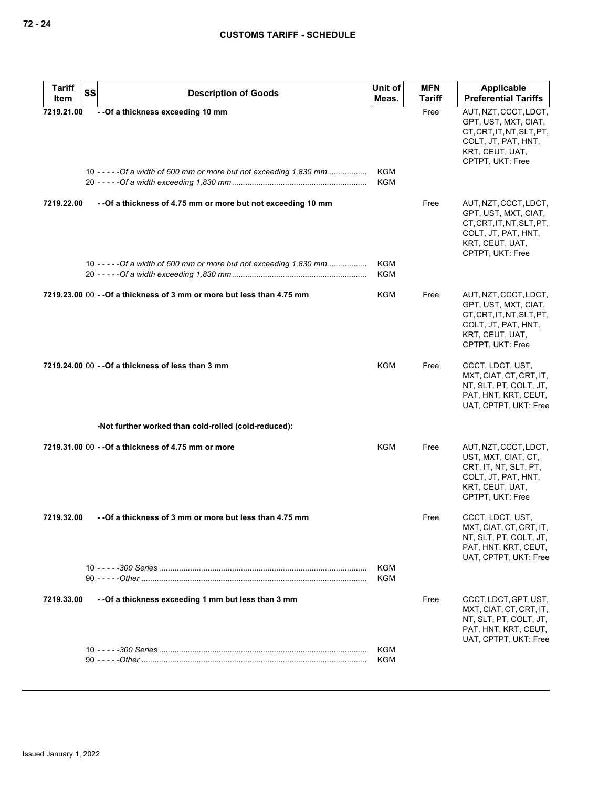| <b>Tariff</b> | <b>SS</b><br><b>Description of Goods</b>                                                                   | Unit of                  | <b>MFN</b> | Applicable                                                                                                                               |
|---------------|------------------------------------------------------------------------------------------------------------|--------------------------|------------|------------------------------------------------------------------------------------------------------------------------------------------|
| Item          |                                                                                                            | Meas.                    | Tariff     | <b>Preferential Tariffs</b>                                                                                                              |
| 7219.21.00    | - - Of a thickness exceeding 10 mm<br>10 - - - - - Of a width of 600 mm or more but not exceeding 1,830 mm | KGM<br>KGM               | Free       | AUT, NZT, CCCT, LDCT,<br>GPT, UST, MXT, CIAT,<br>CT.CRT.IT.NT.SLT.PT.<br>COLT, JT, PAT, HNT,<br>KRT, CEUT, UAT,<br>CPTPT, UKT: Free      |
| 7219.22.00    | - - Of a thickness of 4.75 mm or more but not exceeding 10 mm                                              |                          | Free       | AUT, NZT, CCCT, LDCT,<br>GPT, UST, MXT, CIAT,<br>CT, CRT, IT, NT, SLT, PT,<br>COLT, JT, PAT, HNT,<br>KRT, CEUT, UAT,<br>CPTPT, UKT: Free |
|               | 10 - - - - - Of a width of 600 mm or more but not exceeding 1,830 mm                                       | <b>KGM</b><br><b>KGM</b> |            |                                                                                                                                          |
|               | 7219.23.00 00 - - Of a thickness of 3 mm or more but less than 4.75 mm                                     | KGM                      | Free       | AUT, NZT, CCCT, LDCT,<br>GPT, UST, MXT, CIAT,<br>CT, CRT, IT, NT, SLT, PT,<br>COLT, JT, PAT, HNT,<br>KRT, CEUT, UAT,<br>CPTPT, UKT: Free |
|               | 7219.24.00 00 - - Of a thickness of less than 3 mm                                                         | KGM                      | Free       | CCCT, LDCT, UST,<br>MXT, CIAT, CT, CRT, IT,<br>NT, SLT, PT, COLT, JT,<br>PAT, HNT, KRT, CEUT,<br>UAT, CPTPT, UKT: Free                   |
|               | -Not further worked than cold-rolled (cold-reduced):                                                       |                          |            |                                                                                                                                          |
|               | 7219.31.00 00 - - Of a thickness of 4.75 mm or more                                                        | <b>KGM</b>               | Free       | AUT, NZT, CCCT, LDCT,<br>UST, MXT, CIAT, CT,<br>CRT, IT, NT, SLT, PT,<br>COLT, JT, PAT, HNT,<br>KRT, CEUT, UAT,<br>CPTPT, UKT: Free      |
| 7219.32.00    | - -Of a thickness of 3 mm or more but less than 4.75 mm                                                    |                          | Free       | CCCT, LDCT, UST,<br>MXI, CIAI, CI, CRI, II,<br>NT, SLT, PT, COLT, JT,<br>PAT, HNT, KRT, CEUT,<br>UAT, CPTPT, UKT: Free                   |
|               |                                                                                                            | <b>KGM</b><br><b>KGM</b> |            |                                                                                                                                          |
| 7219.33.00    | - - Of a thickness exceeding 1 mm but less than 3 mm                                                       |                          | Free       | CCCT, LDCT, GPT, UST,<br>MXT, CIAT, CT, CRT, IT,<br>NT, SLT, PT, COLT, JT,<br>PAT, HNT, KRT, CEUT,<br>UAT, CPTPT, UKT: Free              |
|               |                                                                                                            | <b>KGM</b><br>KGM        |            |                                                                                                                                          |
|               |                                                                                                            |                          |            |                                                                                                                                          |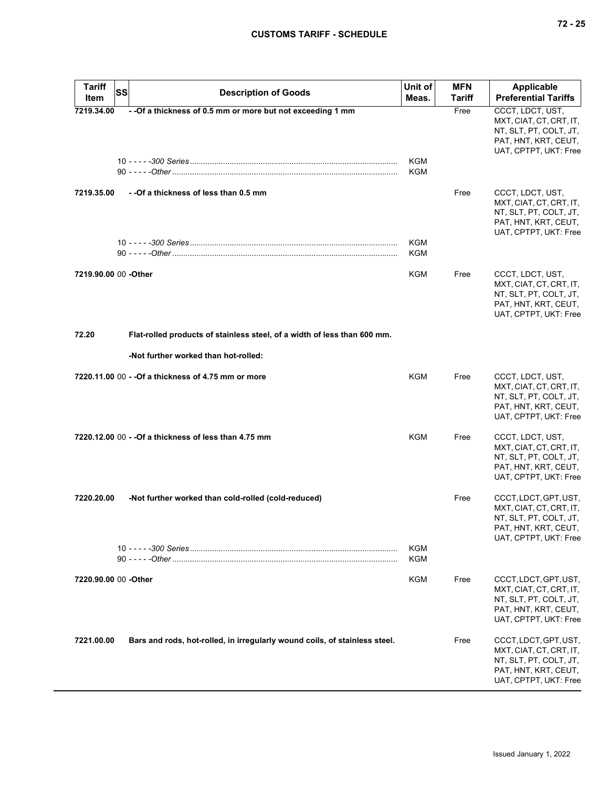|  | ۰. |
|--|----|
|--|----|

| Tariff<br>Item        | SS<br><b>Description of Goods</b>                                          | Unit of<br>Meas.  | <b>MFN</b><br>Tariff | <b>Applicable</b><br><b>Preferential Tariffs</b>                                                                            |
|-----------------------|----------------------------------------------------------------------------|-------------------|----------------------|-----------------------------------------------------------------------------------------------------------------------------|
| 7219.34.00            | - - Of a thickness of 0.5 mm or more but not exceeding 1 mm                | KGM<br>KGM        | Free                 | CCCT, LDCT, UST,<br>MXT, CIAT, CT, CRT, IT,<br>NT, SLT, PT, COLT, JT,<br>PAT, HNT, KRT, CEUT,<br>UAT, CPTPT, UKT: Free      |
| 7219.35.00            | - -Of a thickness of less than 0.5 mm                                      | KGM               | Free                 | CCCT, LDCT, UST,<br>MXT, CIAT, CT, CRT, IT,<br>NT, SLT, PT, COLT, JT,<br>PAT, HNT, KRT, CEUT,<br>UAT, CPTPT, UKT: Free      |
|                       |                                                                            | KGM               |                      |                                                                                                                             |
| 7219.90.00 00 - Other |                                                                            | <b>KGM</b>        | Free                 | CCCT, LDCT, UST,<br>MXT, CIAT, CT, CRT, IT,<br>NT, SLT, PT, COLT, JT,<br>PAT, HNT, KRT, CEUT,<br>UAT, CPTPT, UKT: Free      |
| 72.20                 | Flat-rolled products of stainless steel, of a width of less than 600 mm.   |                   |                      |                                                                                                                             |
|                       | -Not further worked than hot-rolled:                                       |                   |                      |                                                                                                                             |
|                       | 7220.11.00 00 - - Of a thickness of 4.75 mm or more                        | <b>KGM</b>        | Free                 | CCCT, LDCT, UST,<br>MXT, CIAT, CT, CRT, IT,<br>NT, SLT, PT, COLT, JT,<br>PAT, HNT, KRT, CEUT,<br>UAT, CPTPT, UKT: Free      |
|                       | 7220.12.00 00 - - Of a thickness of less than 4.75 mm                      | KGM               | Free                 | CCCT, LDCT, UST,<br>MXT, CIAT, CT, CRT, IT,<br>NT, SLT, PT, COLT, JT,<br>PAT, HNT, KRT, CEUT,<br>UAT, CPTPT, UKT: Free      |
| 7220.20.00            | -Not further worked than cold-rolled (cold-reduced)                        |                   | Free                 | CCCT, LDCT, GPT, UST,<br>MXT, CIAT, CT, CRT, IT,<br>NT, SLT, PT, COLT, JT,<br>PAT, HNT, KRT, CEUT,<br>UAT, CPTPT, UKT: Free |
|                       |                                                                            | KGM<br><b>KGM</b> |                      |                                                                                                                             |
| 7220.90.00 00 - Other |                                                                            | <b>KGM</b>        | Free                 | CCCT, LDCT, GPT, UST,<br>MXT, CIAT, CT, CRT, IT,<br>NT, SLT, PT, COLT, JT,<br>PAT, HNT, KRT, CEUT,<br>UAT, CPTPT, UKT: Free |
| 7221.00.00            | Bars and rods, hot-rolled, in irregularly wound coils, of stainless steel. |                   | Free                 | CCCT, LDCT, GPT, UST,<br>MXT, CIAT, CT, CRT, IT,<br>NT, SLT, PT, COLT, JT,<br>PAT, HNT, KRT, CEUT,<br>UAT, CPTPT, UKT: Free |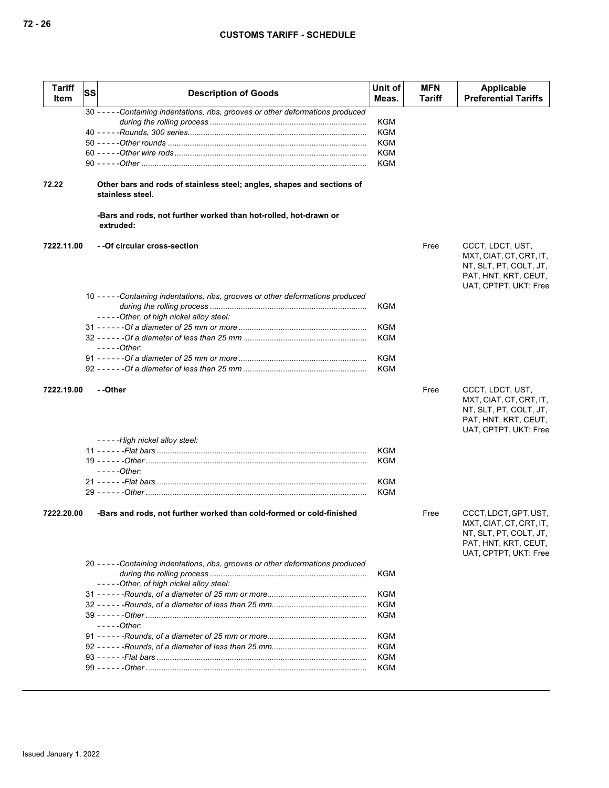| <b>Tariff</b><br>Item | SS | <b>Description of Goods</b>                                                                | Unit of<br>Meas. | <b>MFN</b><br>Tariff | <b>Applicable</b><br><b>Preferential Tariffs</b>                                                                            |
|-----------------------|----|--------------------------------------------------------------------------------------------|------------------|----------------------|-----------------------------------------------------------------------------------------------------------------------------|
|                       |    | 30 - - - - - Containing indentations, ribs, grooves or other deformations produced         |                  |                      |                                                                                                                             |
|                       |    |                                                                                            | KGM              |                      |                                                                                                                             |
|                       |    |                                                                                            | KGM              |                      |                                                                                                                             |
|                       |    |                                                                                            | KGM              |                      |                                                                                                                             |
|                       |    |                                                                                            | KGM              |                      |                                                                                                                             |
|                       |    |                                                                                            | <b>KGM</b>       |                      |                                                                                                                             |
| 72.22                 |    | Other bars and rods of stainless steel; angles, shapes and sections of<br>stainless steel. |                  |                      |                                                                                                                             |
|                       |    | -Bars and rods, not further worked than hot-rolled, hot-drawn or<br>extruded:              |                  |                      |                                                                                                                             |
| 7222.11.00            |    | - - Of circular cross-section                                                              |                  | Free                 | CCCT, LDCT, UST,<br>MXT, CIAT, CT, CRT, IT,<br>NT, SLT, PT, COLT, JT,<br>PAT, HNT, KRT, CEUT,<br>UAT, CPTPT, UKT: Free      |
|                       |    | 10 - - - - - Containing indentations, ribs, grooves or other deformations produced         | KGM              |                      |                                                                                                                             |
|                       |    | -----Other, of high nickel alloy steel:                                                    |                  |                      |                                                                                                                             |
|                       |    |                                                                                            | KGM              |                      |                                                                                                                             |
|                       |    | $---Other$                                                                                 | KGM              |                      |                                                                                                                             |
|                       |    |                                                                                            | <b>KGM</b>       |                      |                                                                                                                             |
|                       |    |                                                                                            | <b>KGM</b>       |                      |                                                                                                                             |
| 7222.19.00            |    | - -Other                                                                                   |                  | Free                 | CCCT, LDCT, UST,<br>MXT, CIAT, CT, CRT, IT,<br>NT, SLT, PT, COLT, JT,<br>PAT, HNT, KRT, CEUT,<br>UAT, CPTPT, UKT: Free      |
|                       |    | -----High nickel alloy steel:                                                              |                  |                      |                                                                                                                             |
|                       |    |                                                                                            | KGM              |                      |                                                                                                                             |
|                       |    |                                                                                            | KGM              |                      |                                                                                                                             |
|                       |    | $---Other:$                                                                                |                  |                      |                                                                                                                             |
|                       |    |                                                                                            | KGM              |                      |                                                                                                                             |
|                       |    |                                                                                            | KGM              |                      |                                                                                                                             |
| 7222.20.00            |    | -Bars and rods, not further worked than cold-formed or cold-finished                       |                  | Free                 | CCCT, LDCT, GPT, UST,<br>MXT, CIAT, CT, CRT, IT,<br>NT, SLT, PT, COLT, JT,<br>PAT, HNT, KRT, CEUT,<br>UAT, CPTPT, UKT: Free |
|                       |    | 20 -----Containing indentations, ribs, grooves or other deformations produced              |                  |                      |                                                                                                                             |
|                       |    | -----Other, of high nickel alloy steel:                                                    | KGM              |                      |                                                                                                                             |
|                       |    |                                                                                            | KGM              |                      |                                                                                                                             |
|                       |    |                                                                                            | KGM              |                      |                                                                                                                             |
|                       |    |                                                                                            | <b>KGM</b>       |                      |                                                                                                                             |
|                       |    | - - - - - Other:                                                                           |                  |                      |                                                                                                                             |
|                       |    |                                                                                            | <b>KGM</b>       |                      |                                                                                                                             |
|                       |    |                                                                                            | <b>KGM</b>       |                      |                                                                                                                             |
|                       |    |                                                                                            | <b>KGM</b>       |                      |                                                                                                                             |
|                       |    |                                                                                            | <b>KGM</b>       |                      |                                                                                                                             |
|                       |    |                                                                                            |                  |                      |                                                                                                                             |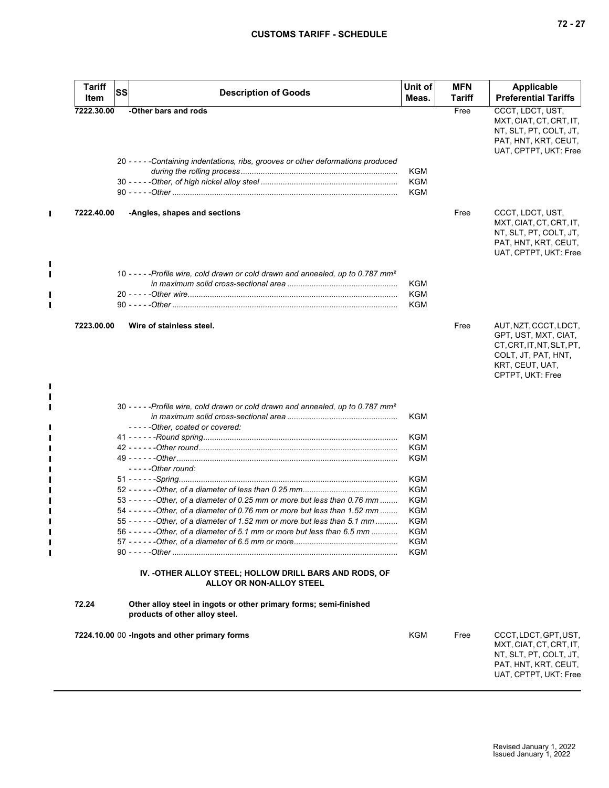| <b>Tariff</b> | SS | <b>Description of Goods</b>                                                                         | Unit of           | <b>MFN</b> | <b>Applicable</b>                                                                                                                        |
|---------------|----|-----------------------------------------------------------------------------------------------------|-------------------|------------|------------------------------------------------------------------------------------------------------------------------------------------|
| Item          |    |                                                                                                     | Meas.             | Tariff     | <b>Preferential Tariffs</b>                                                                                                              |
| 7222.30.00    |    | -Other bars and rods                                                                                |                   | Free       | CCCT, LDCT, UST,<br>MXT, CIAT, CT, CRT, IT,<br>NT, SLT, PT, COLT, JT,<br>PAT, HNT, KRT, CEUT,<br>UAT, CPTPT, UKT: Free                   |
|               |    | 20 - - - - - Containing indentations, ribs, grooves or other deformations produced                  | KGM<br><b>KGM</b> |            |                                                                                                                                          |
|               |    |                                                                                                     | KGM               |            |                                                                                                                                          |
| 7222.40.00    |    | -Angles, shapes and sections                                                                        |                   | Free       | CCCT, LDCT, UST,<br>MXT, CIAT, CT, CRT, IT,<br>NT, SLT, PT, COLT, JT,<br>PAT, HNT, KRT, CEUT,<br>UAT, CPTPT, UKT: Free                   |
|               |    | 10 - - - - - Profile wire, cold drawn or cold drawn and annealed, up to 0.787 mm <sup>2</sup>       | KGM<br>KGM<br>KGM |            |                                                                                                                                          |
| 7223.00.00    |    | Wire of stainless steel.                                                                            |                   | Free       | AUT, NZT, CCCT, LDCT,<br>GPT, UST, MXT, CIAT,<br>CT, CRT, IT, NT, SLT, PT,<br>COLT, JT, PAT, HNT,<br>KRT, CEUT, UAT,<br>CPTPT, UKT: Free |
|               |    | 30 - - - - - Profile wire, cold drawn or cold drawn and annealed, up to 0.787 mm <sup>2</sup>       | KGM               |            |                                                                                                                                          |
|               |    | -----Other, coated or covered:                                                                      | KGM               |            |                                                                                                                                          |
|               |    |                                                                                                     | KGM               |            |                                                                                                                                          |
|               |    |                                                                                                     | KGM               |            |                                                                                                                                          |
|               |    | $---Other round:$                                                                                   |                   |            |                                                                                                                                          |
|               |    |                                                                                                     | KGM<br>KGM        |            |                                                                                                                                          |
|               |    | 53 - - - - - - - Other, of a diameter of 0.25 mm or more but less than 0.76 mm                      | KGM               |            |                                                                                                                                          |
|               |    | 54 - - - - - - - Other, of a diameter of 0.76 mm or more but less than 1.52 mm                      | KGM               |            |                                                                                                                                          |
|               |    | 55 - - - - - - - Other, of a diameter of 1.52 mm or more but less than 5.1 mm                       | <b>KGM</b>        |            |                                                                                                                                          |
|               |    | 56 - - - - - - - Other, of a diameter of 5.1 mm or more but less than 6.5 mm                        | KGM               |            |                                                                                                                                          |
|               |    |                                                                                                     | KGM<br>KGM        |            |                                                                                                                                          |
|               |    | IV. - OTHER ALLOY STEEL; HOLLOW DRILL BARS AND RODS, OF<br>ALLOY OR NON-ALLOY STEEL                 |                   |            |                                                                                                                                          |
| 72.24         |    | Other alloy steel in ingots or other primary forms; semi-finished<br>products of other alloy steel. |                   |            |                                                                                                                                          |
|               |    | 7224.10.00 00 -Ingots and other primary forms                                                       | KGM               | Free       | CCCT,LDCT,GPT,UST,<br>MXT, CIAT, CT, CRT, IT,<br>NT, SLT, PT, COLT, JT,<br>PAT, HNT, KRT, CEUT,<br>UAT, CPTPT, UKT: Free                 |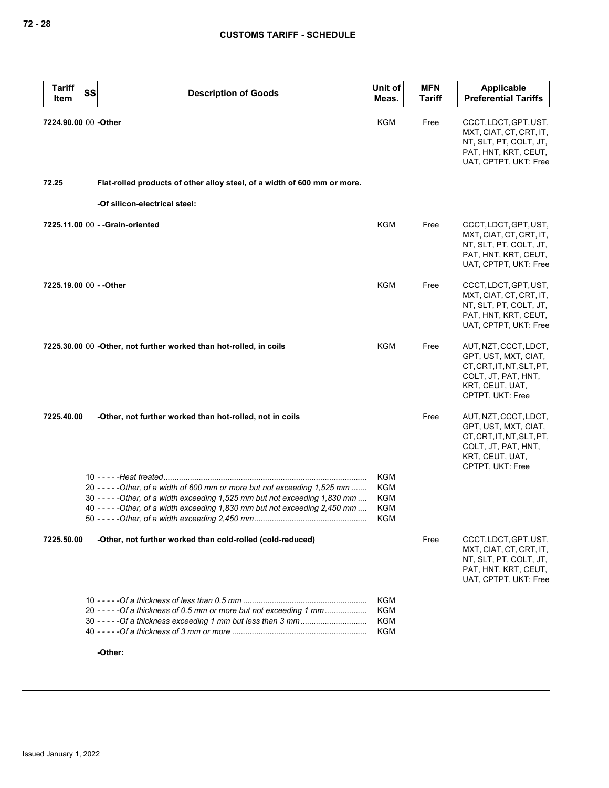| <b>Tariff</b><br>Item   | SS<br><b>Description of Goods</b>                                                                                                                                                                                                               | Unit of<br>Meas.                                                   | <b>MFN</b><br><b>Tariff</b> | <b>Applicable</b><br><b>Preferential Tariffs</b>                                                                                         |
|-------------------------|-------------------------------------------------------------------------------------------------------------------------------------------------------------------------------------------------------------------------------------------------|--------------------------------------------------------------------|-----------------------------|------------------------------------------------------------------------------------------------------------------------------------------|
| 7224.90.00 00 -Other    |                                                                                                                                                                                                                                                 | <b>KGM</b>                                                         | Free                        | CCCT, LDCT, GPT, UST,<br>MXT, CIAT, CT, CRT, IT,<br>NT, SLT, PT, COLT, JT,<br>PAT, HNT, KRT, CEUT,<br>UAT, CPTPT, UKT: Free              |
| 72.25                   | Flat-rolled products of other alloy steel, of a width of 600 mm or more.                                                                                                                                                                        |                                                                    |                             |                                                                                                                                          |
|                         | -Of silicon-electrical steel:                                                                                                                                                                                                                   |                                                                    |                             |                                                                                                                                          |
|                         | 7225.11.00 00 - - Grain-oriented                                                                                                                                                                                                                | KGM                                                                | Free                        | CCCT, LDCT, GPT, UST,<br>MXT, CIAT, CT, CRT, IT,<br>NT, SLT, PT, COLT, JT,<br>PAT, HNT, KRT, CEUT,<br>UAT, CPTPT, UKT: Free              |
| 7225.19.00 00 - - Other |                                                                                                                                                                                                                                                 | KGM                                                                | Free                        | CCCT, LDCT, GPT, UST,<br>MXT, CIAT, CT, CRT, IT,<br>NT, SLT, PT, COLT, JT,<br>PAT, HNT, KRT, CEUT,<br>UAT, CPTPT, UKT: Free              |
|                         | 7225.30.00 00 -Other, not further worked than hot-rolled, in coils                                                                                                                                                                              | KGM                                                                | Free                        | AUT, NZT, CCCT, LDCT,<br>GPT, UST, MXT, CIAT,<br>CT, CRT, IT, NT, SLT, PT,<br>COLT, JT, PAT, HNT,<br>KRT, CEUT, UAT,<br>CPTPT, UKT: Free |
| 7225.40.00              | -Other, not further worked than hot-rolled, not in coils                                                                                                                                                                                        |                                                                    | Free                        | AUT, NZT, CCCT, LDCT,<br>GPT, UST, MXT, CIAT,<br>CT, CRT, IT, NT, SLT, PT,<br>COLT, JT, PAT, HNT,<br>KRT, CEUT, UAT,<br>CPTPT, UKT: Free |
|                         | 20 - - - - - - Other, of a width of 600 mm or more but not exceeding 1,525 mm<br>$30 - - - -$ - Other, of a width exceeding 1,525 mm but not exceeding 1,830 mm<br>40 - - - - - Other, of a width exceeding 1,830 mm but not exceeding 2,450 mm | <b>KGM</b><br><b>KGM</b><br><b>KGM</b><br><b>KGM</b><br><b>KGM</b> |                             |                                                                                                                                          |
| 7225.50.00              | -Other, not further worked than cold-rolled (cold-reduced)                                                                                                                                                                                      |                                                                    | Free                        | CCCT, LDCT, GPT, UST,<br>MXT, CIAT, CT, CRT, IT,<br>NT, SLT, PT, COLT, JT,<br>PAT, HNT, KRT, CEUT,<br>UAT, CPTPT, UKT: Free              |
|                         | 20 - - - - - Of a thickness of 0.5 mm or more but not exceeding 1 mm                                                                                                                                                                            | <b>KGM</b><br><b>KGM</b><br>KGM<br><b>KGM</b>                      |                             |                                                                                                                                          |
|                         | -Other:                                                                                                                                                                                                                                         |                                                                    |                             |                                                                                                                                          |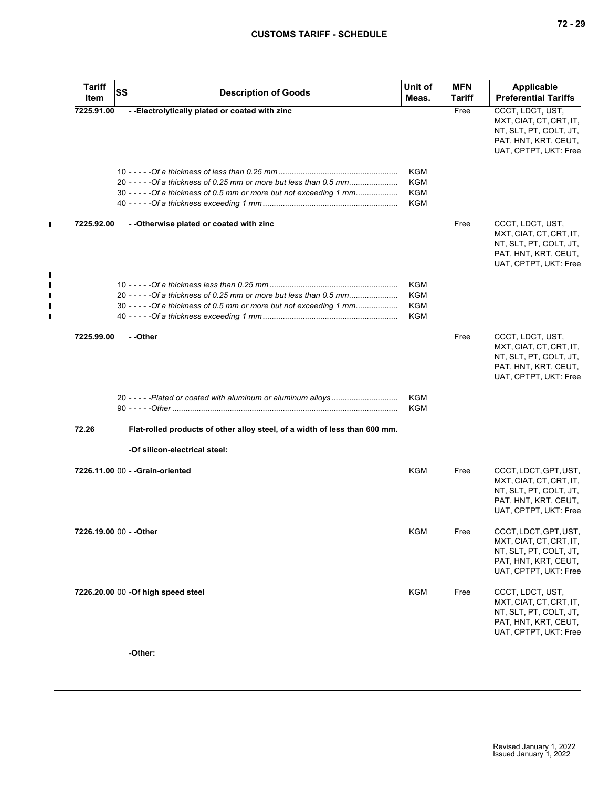| <b>Tariff</b><br>Item   | <b>SS</b> | <b>Description of Goods</b>                                                | Unit of<br>Meas. | <b>MFN</b><br>Tariff | <b>Applicable</b><br><b>Preferential Tariffs</b>                                                                            |
|-------------------------|-----------|----------------------------------------------------------------------------|------------------|----------------------|-----------------------------------------------------------------------------------------------------------------------------|
| 7225.91.00              |           | --Electrolytically plated or coated with zinc                              |                  | Free                 | CCCT, LDCT, UST,<br>MXT, CIAT, CT, CRT, IT,<br>NT, SLT, PT, COLT, JT,<br>PAT, HNT, KRT, CEUT,<br>UAT, CPTPT, UKT: Free      |
|                         |           |                                                                            | <b>KGM</b>       |                      |                                                                                                                             |
|                         |           | 20 - - - - - Of a thickness of 0.25 mm or more but less than 0.5 mm        | <b>KGM</b>       |                      |                                                                                                                             |
|                         |           | 30 - - - - - Of a thickness of 0.5 mm or more but not exceeding 1 mm       | <b>KGM</b>       |                      |                                                                                                                             |
|                         |           |                                                                            | <b>KGM</b>       |                      |                                                                                                                             |
| 7225.92.00              |           | - - Otherwise plated or coated with zinc                                   |                  | Free                 | CCCT, LDCT, UST,<br>MXT, CIAT, CT, CRT, IT,<br>NT, SLT, PT, COLT, JT,<br>PAT, HNT, KRT, CEUT,<br>UAT, CPTPT, UKT: Free      |
|                         |           |                                                                            | <b>KGM</b>       |                      |                                                                                                                             |
|                         |           | 20 - - - - - Of a thickness of 0.25 mm or more but less than 0.5 mm        | <b>KGM</b>       |                      |                                                                                                                             |
|                         |           | 30 - - - - - Of a thickness of 0.5 mm or more but not exceeding 1 mm       | <b>KGM</b>       |                      |                                                                                                                             |
|                         |           |                                                                            | <b>KGM</b>       |                      |                                                                                                                             |
| 7225.99.00              |           | - -Other                                                                   |                  | Free                 | CCCT, LDCT, UST,<br>MXT, CIAT, CT, CRT, IT,<br>NT, SLT, PT, COLT, JT,<br>PAT, HNT, KRT, CEUT,<br>UAT, CPTPT, UKT: Free      |
|                         |           |                                                                            | KGM<br>KGM       |                      |                                                                                                                             |
| 72.26                   |           | Flat-rolled products of other alloy steel, of a width of less than 600 mm. |                  |                      |                                                                                                                             |
|                         |           | -Of silicon-electrical steel:                                              |                  |                      |                                                                                                                             |
|                         |           | 7226.11.00 00 - - Grain-oriented                                           | KGM              | Free                 | CCCT, LDCT, GPT, UST,<br>MXT, CIAT, CT, CRT, IT,<br>NT, SLT, PT, COLT, JT,<br>PAT, HNT, KRT, CEUT,<br>UAT, CPTPT, UKT: Free |
| 7226.19.00 00 - - Other |           |                                                                            | <b>KGM</b>       | Free                 | CCCT, LDCT, GPT, UST,<br>MXT, CIAT, CT, CRT, IT,<br>NT, SLT, PT, COLT, JT,<br>PAT, HNT, KRT, CEUT,<br>UAT, CPTPT, UKT: Free |
|                         |           | 7226.20.00 00 - Of high speed steel                                        | <b>KGM</b>       | Free                 | CCCT, LDCT, UST,<br>MXT, CIAT, CT, CRT, IT,<br>NT, SLT, PT, COLT, JT,<br>PAT, HNT, KRT, CEUT,<br>UAT, CPTPT, UKT: Free      |
|                         |           |                                                                            |                  |                      |                                                                                                                             |

**-Other:**

 $\mathbf{I}$ 

 $\mathbf{I}$  $\mathbf{I}$  $\mathbf{I}$  $\mathbf{I}$  $\blacksquare$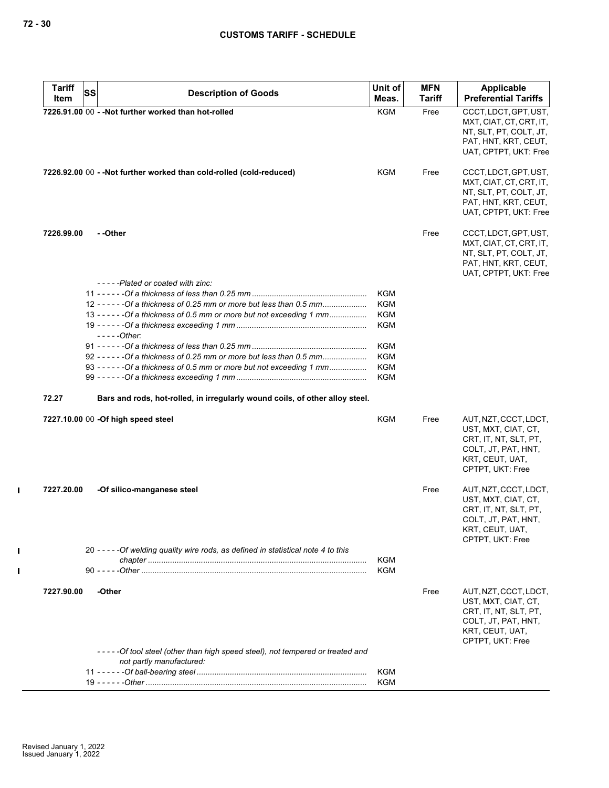| <b>Tariff</b> |    |                                                                                     | Unit of    | <b>MFN</b>    | Applicable                                    |
|---------------|----|-------------------------------------------------------------------------------------|------------|---------------|-----------------------------------------------|
| Item          | SS | <b>Description of Goods</b>                                                         | Meas.      | <b>Tariff</b> | <b>Preferential Tariffs</b>                   |
|               |    | 7226.91.00 00 - - Not further worked than hot-rolled                                | <b>KGM</b> | Free          | CCCT, LDCT, GPT, UST,                         |
|               |    |                                                                                     |            |               | MXT, CIAT, CT, CRT, IT,                       |
|               |    |                                                                                     |            |               | NT, SLT, PT, COLT, JT,                        |
|               |    |                                                                                     |            |               | PAT, HNT, KRT, CEUT,                          |
|               |    |                                                                                     |            |               | UAT, CPTPT, UKT: Free                         |
|               |    | 7226.92.00 00 - - Not further worked than cold-rolled (cold-reduced)                | KGM        | Free          | CCCT, LDCT, GPT, UST,                         |
|               |    |                                                                                     |            |               | MXT, CIAT, CT, CRT, IT,                       |
|               |    |                                                                                     |            |               | NT, SLT, PT, COLT, JT,                        |
|               |    |                                                                                     |            |               | PAT, HNT, KRT, CEUT,                          |
|               |    |                                                                                     |            |               | UAT, CPTPT, UKT: Free                         |
| 7226.99.00    |    | - -Other                                                                            |            | Free          | CCCT, LDCT, GPT, UST,                         |
|               |    |                                                                                     |            |               | MXT, CIAT, CT, CRT, IT,                       |
|               |    |                                                                                     |            |               | NT, SLT, PT, COLT, JT,                        |
|               |    |                                                                                     |            |               | PAT, HNT, KRT, CEUT,<br>UAT, CPTPT, UKT: Free |
|               |    | -----Plated or coated with zinc:                                                    |            |               |                                               |
|               |    |                                                                                     | <b>KGM</b> |               |                                               |
|               |    | 12 - - - - - - Of a thickness of 0.25 mm or more but less than 0.5 mm               | <b>KGM</b> |               |                                               |
|               |    | 13 - - - - - - Of a thickness of 0.5 mm or more but not exceeding 1 mm              | KGM        |               |                                               |
|               |    |                                                                                     | <b>KGM</b> |               |                                               |
|               |    | $---Other:$                                                                         |            |               |                                               |
|               |    |                                                                                     | KGM        |               |                                               |
|               |    | 92 - - - - - - Of a thickness of 0.25 mm or more but less than 0.5 mm               | KGM        |               |                                               |
|               |    | 93 - - - - - - Of a thickness of 0.5 mm or more but not exceeding 1 mm              | <b>KGM</b> |               |                                               |
|               |    |                                                                                     | <b>KGM</b> |               |                                               |
| 72.27         |    | Bars and rods, hot-rolled, in irregularly wound coils, of other alloy steel.        |            |               |                                               |
|               |    | 7227.10.00 00 - Of high speed steel                                                 | <b>KGM</b> | Free          | AUT, NZT, CCCT, LDCT,                         |
|               |    |                                                                                     |            |               | UST, MXT, CIAT, CT,                           |
|               |    |                                                                                     |            |               | CRT, IT, NT, SLT, PT,                         |
|               |    |                                                                                     |            |               | COLT, JT, PAT, HNT,                           |
|               |    |                                                                                     |            |               | KRT, CEUT, UAT,<br>CPTPT, UKT: Free           |
|               |    |                                                                                     |            |               |                                               |
| 7227.20.00    |    | -Of silico-manganese steel                                                          |            | Free          | AUT, NZT, CCCT, LDCT,                         |
|               |    |                                                                                     |            |               | UST, MXT, CIAT, CT,                           |
|               |    |                                                                                     |            |               | CRT, IT, NT, SLT, PT,                         |
|               |    |                                                                                     |            |               | COLT, JT, PAT, HNT,                           |
|               |    |                                                                                     |            |               | KRI, CEUI, UAI,<br>CPTPT, UKT: Free           |
|               |    |                                                                                     |            |               |                                               |
|               |    | 20 - - - - - Of welding quality wire rods, as defined in statistical note 4 to this | <b>KGM</b> |               |                                               |
|               |    |                                                                                     | <b>KGM</b> |               |                                               |
|               |    |                                                                                     |            |               |                                               |
| 7227.90.00    |    | -Other                                                                              |            | Free          | AUT, NZT, CCCT, LDCT,                         |
|               |    |                                                                                     |            |               | UST, MXT, CIAT, CT,<br>CRT, IT, NT, SLT, PT,  |
|               |    |                                                                                     |            |               | COLT, JT, PAT, HNT,                           |
|               |    |                                                                                     |            |               | KRT, CEUT, UAT,                               |
|               |    |                                                                                     |            |               | CPTPT, UKT: Free                              |
|               |    | -----Of tool steel (other than high speed steel), not tempered or treated and       |            |               |                                               |
|               |    | not partly manufactured:                                                            |            |               |                                               |
|               |    |                                                                                     | KGM        |               |                                               |
|               |    |                                                                                     | KGM        |               |                                               |

 $\mathbf{I}$ 

 $\mathbf{I}$  $\mathbf{I}$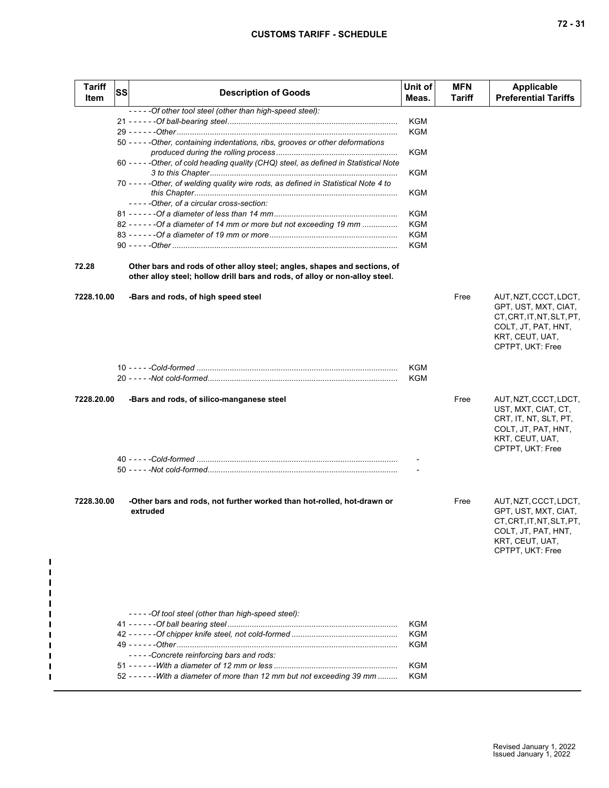| Tariff<br><b>Item</b> | <b>SS</b> | <b>Description of Goods</b>                                                                                                                                                  | Unit of<br>Meas.                | <b>MFN</b><br>Tariff | <b>Applicable</b><br><b>Preferential Tariffs</b>                                                                                         |
|-----------------------|-----------|------------------------------------------------------------------------------------------------------------------------------------------------------------------------------|---------------------------------|----------------------|------------------------------------------------------------------------------------------------------------------------------------------|
|                       |           | -----Of other tool steel (other than high-speed steel):                                                                                                                      |                                 |                      |                                                                                                                                          |
|                       |           |                                                                                                                                                                              | KGM                             |                      |                                                                                                                                          |
|                       |           |                                                                                                                                                                              | KGM                             |                      |                                                                                                                                          |
|                       |           | 50 - - - - - Other, containing indentations, ribs, grooves or other deformations                                                                                             | KGM                             |                      |                                                                                                                                          |
|                       |           | 60 - - - - - Other, of cold heading quality (CHQ) steel, as defined in Statistical Note                                                                                      | KGM                             |                      |                                                                                                                                          |
|                       |           | 70 - - - - - Other, of welding quality wire rods, as defined in Statistical Note 4 to                                                                                        | KGM                             |                      |                                                                                                                                          |
|                       |           | -----Other, of a circular cross-section:                                                                                                                                     |                                 |                      |                                                                                                                                          |
|                       |           |                                                                                                                                                                              | KGM                             |                      |                                                                                                                                          |
|                       |           | 82 - - - - - - - Of a diameter of 14 mm or more but not exceeding 19 mm                                                                                                      | <b>KGM</b>                      |                      |                                                                                                                                          |
|                       |           |                                                                                                                                                                              | KGM                             |                      |                                                                                                                                          |
|                       |           |                                                                                                                                                                              | KGM                             |                      |                                                                                                                                          |
| 72.28                 |           | Other bars and rods of other alloy steel; angles, shapes and sections, of<br>other alloy steel; hollow drill bars and rods, of alloy or non-alloy steel.                     |                                 |                      |                                                                                                                                          |
| 7228.10.00            |           | -Bars and rods, of high speed steel                                                                                                                                          |                                 | Free                 | AUT, NZT, CCCT, LDCT,<br>GPT, UST, MXT, CIAT,<br>CT, CRT, IT, NT, SLT, PT,<br>COLT, JT, PAT, HNT,<br>KRT, CEUT, UAT,<br>CPTPT, UKT: Free |
|                       |           |                                                                                                                                                                              | KGM<br>KGM                      |                      |                                                                                                                                          |
| 7228.20.00            |           | -Bars and rods, of silico-manganese steel                                                                                                                                    |                                 | Free                 | AUT, NZT, CCCT, LDCT,<br>UST, MXT, CIAT, CT,<br>CRT, IT, NT, SLT, PT,<br>COLT, JT, PAT, HNT,<br>KRT, CEUT, UAT,<br>CPTPT, UKT: Free      |
|                       |           |                                                                                                                                                                              |                                 |                      |                                                                                                                                          |
|                       |           |                                                                                                                                                                              |                                 |                      |                                                                                                                                          |
| 7228.30.00            |           | -Other bars and rods, not further worked than hot-rolled, hot-drawn or<br>extruded                                                                                           |                                 | Free                 | AUT, NZT, CCCT, LDCT,<br>GPT, UST, MXT, CIAT,<br>CT, CRT, IT, NT, SLT, PT,<br>COLT, JT, PAT, HNT,<br>KRT, CEUT, UAT,<br>CPTPT, UKT: Free |
|                       |           | -----Of tool steel (other than high-speed steel):<br>-----Concrete reinforcing bars and rods:<br>52 - - - - - - - With a diameter of more than 12 mm but not exceeding 39 mm | KGM<br>KGM<br>KGM<br>KGM<br>KGM |                      |                                                                                                                                          |

 $\mathbf I$  $\mathbf{I}$  $\mathbf{I}$  $\blacksquare$  $\blacksquare$  $\blacksquare$ 

П  $\blacksquare$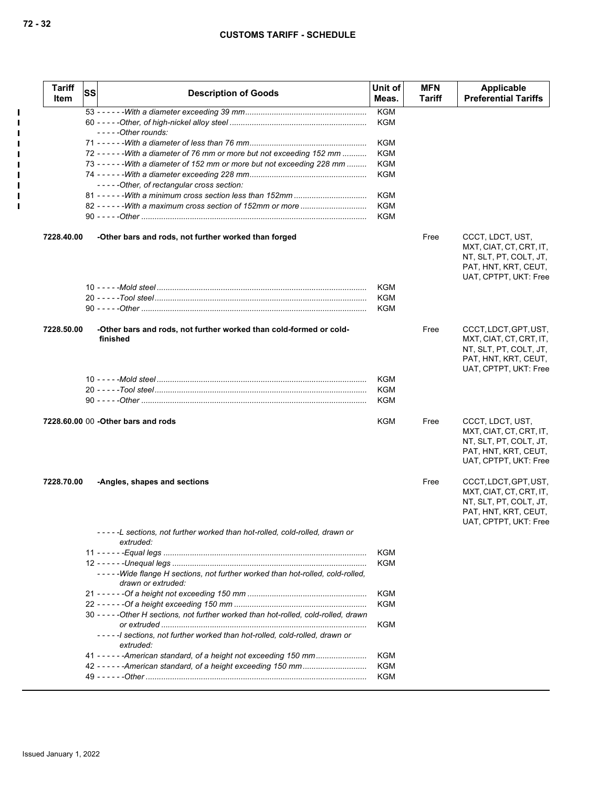| <b>Tariff</b><br>Item | <b>SS</b> | <b>Description of Goods</b>                                                                         | Unit of<br>Meas.  | <b>MFN</b><br>Tariff | Applicable<br><b>Preferential Tariffs</b>                                                                                   |
|-----------------------|-----------|-----------------------------------------------------------------------------------------------------|-------------------|----------------------|-----------------------------------------------------------------------------------------------------------------------------|
|                       |           |                                                                                                     | <b>KGM</b>        |                      |                                                                                                                             |
|                       |           |                                                                                                     | KGM               |                      |                                                                                                                             |
|                       |           | $--$ - - - Other rounds:                                                                            |                   |                      |                                                                                                                             |
|                       |           |                                                                                                     | <b>KGM</b>        |                      |                                                                                                                             |
|                       |           | 72 - - - - - - - With a diameter of 76 mm or more but not exceeding 152 mm                          | <b>KGM</b>        |                      |                                                                                                                             |
|                       |           | 73 - - - - - - - With a diameter of 152 mm or more but not exceeding 228 mm                         | <b>KGM</b>        |                      |                                                                                                                             |
|                       |           |                                                                                                     | <b>KGM</b>        |                      |                                                                                                                             |
|                       |           | -----Other, of rectangular cross section:                                                           |                   |                      |                                                                                                                             |
|                       |           |                                                                                                     | <b>KGM</b><br>KGM |                      |                                                                                                                             |
|                       |           |                                                                                                     | <b>KGM</b>        |                      |                                                                                                                             |
| 7228.40.00            |           | -Other bars and rods, not further worked than forged                                                |                   | Free                 | CCCT, LDCT, UST,<br>MXT, CIAT, CT, CRT, IT,<br>NT, SLT, PT, COLT, JT,<br>PAT, HNT, KRT, CEUT,                               |
|                       |           |                                                                                                     |                   |                      | UAT, CPTPT, UKT: Free                                                                                                       |
|                       |           |                                                                                                     | KGM               |                      |                                                                                                                             |
|                       |           |                                                                                                     | KGM               |                      |                                                                                                                             |
|                       |           |                                                                                                     | <b>KGM</b>        |                      |                                                                                                                             |
| 7228.50.00            |           | -Other bars and rods, not further worked than cold-formed or cold-<br>finished                      |                   | Free                 | CCCT, LDCT, GPT, UST,<br>MXT, CIAT, CT, CRT, IT,<br>NT, SLT, PT, COLT, JT,<br>PAT, HNT, KRT, CEUT,<br>UAT, CPTPT, UKT: Free |
|                       |           |                                                                                                     | <b>KGM</b>        |                      |                                                                                                                             |
|                       |           |                                                                                                     | KGM               |                      |                                                                                                                             |
|                       |           |                                                                                                     | <b>KGM</b>        |                      |                                                                                                                             |
|                       |           | 7228.60.00 00 - Other bars and rods                                                                 | KGM               | Free                 | CCCT, LDCT, UST,<br>MXT, CIAT, CT, CRT, IT,<br>NT, SLT, PT, COLT, JT,<br>PAT, HNT, KRT, CEUT,<br>UAT, CPTPT, UKT: Free      |
| 7228.70.00            |           | -Angles, shapes and sections                                                                        |                   | Free                 | CCCT, LDCT, GPT, UST,<br>MXT, CIAT, CT, CRT, IT,<br>NT, SLT, PT, COLT, JT,<br>PAT, HNT, KRT, CEUT,<br>UAT, CPTPT, UKT: Free |
|                       |           | -----L sections, not further worked than hot-rolled, cold-rolled, drawn or<br>extruded:             |                   |                      |                                                                                                                             |
|                       |           |                                                                                                     | <b>KGM</b>        |                      |                                                                                                                             |
|                       |           |                                                                                                     | KGM               |                      |                                                                                                                             |
|                       |           | -----Wide flange H sections, not further worked than hot-rolled, cold-rolled,<br>drawn or extruded: |                   |                      |                                                                                                                             |
|                       |           |                                                                                                     | <b>KGM</b>        |                      |                                                                                                                             |
|                       |           |                                                                                                     | KGM               |                      |                                                                                                                             |
|                       |           | 30 - - - - - Other H sections, not further worked than hot-rolled, cold-rolled, drawn               |                   |                      |                                                                                                                             |
|                       |           | -----I sections, not further worked than hot-rolled, cold-rolled, drawn or                          | KGM               |                      |                                                                                                                             |
|                       |           | extruded:                                                                                           |                   |                      |                                                                                                                             |
|                       |           | 41 - - - - - - American standard, of a height not exceeding 150 mm                                  | <b>KGM</b>        |                      |                                                                                                                             |
|                       |           |                                                                                                     | KGM               |                      |                                                                                                                             |
|                       |           |                                                                                                     | KGM               |                      |                                                                                                                             |

 $\mathbf{I}$  $\blacksquare$  $\blacksquare$  $\blacksquare$  $\mathbf{I}$  $\blacksquare$  $\mathbf{I}$  $\blacksquare$  $\mathbf{I}$  $\mathbf{I}$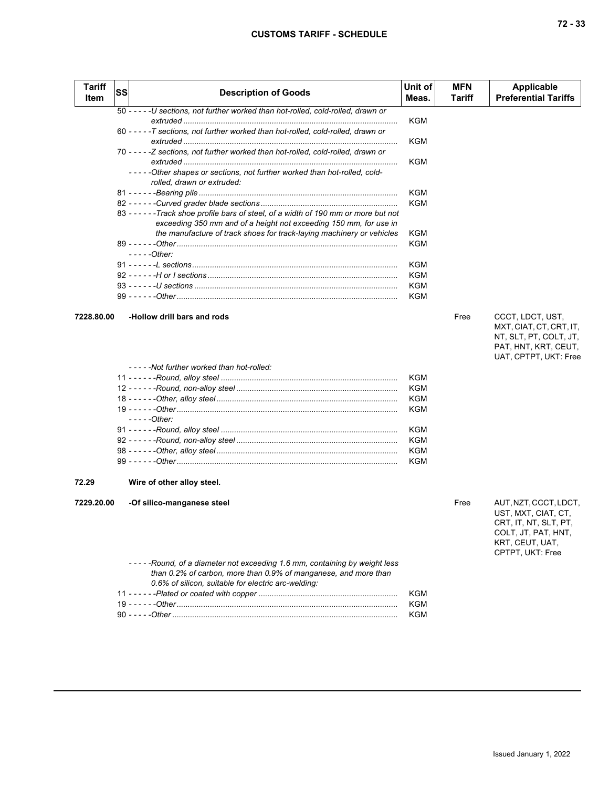|  | ×<br>۰,<br>× |
|--|--------------|
|--|--------------|

| <b>Tariff</b><br>Item | SS | <b>Description of Goods</b>                                                                                                                                | Unit of<br>Meas. | <b>MFN</b><br>Tariff | <b>Applicable</b><br><b>Preferential Tariffs</b>                                                                                    |
|-----------------------|----|------------------------------------------------------------------------------------------------------------------------------------------------------------|------------------|----------------------|-------------------------------------------------------------------------------------------------------------------------------------|
|                       |    | 50 - - - - - U sections, not further worked than hot-rolled, cold-rolled, drawn or                                                                         |                  |                      |                                                                                                                                     |
|                       |    |                                                                                                                                                            | <b>KGM</b>       |                      |                                                                                                                                     |
|                       |    | 60 - - - - - T sections, not further worked than hot-rolled, cold-rolled, drawn or                                                                         | KGM              |                      |                                                                                                                                     |
|                       |    | 70 - - - - - Z sections, not further worked than hot-rolled, cold-rolled, drawn or                                                                         | <b>KGM</b>       |                      |                                                                                                                                     |
|                       |    | -----Other shapes or sections, not further worked than hot-rolled, cold-<br>rolled, drawn or extruded:                                                     |                  |                      |                                                                                                                                     |
|                       |    |                                                                                                                                                            | <b>KGM</b>       |                      |                                                                                                                                     |
|                       |    |                                                                                                                                                            | <b>KGM</b>       |                      |                                                                                                                                     |
|                       |    | 83 - - - - - - Track shoe profile bars of steel, of a width of 190 mm or more but not<br>exceeding 350 mm and of a height not exceeding 150 mm, for use in |                  |                      |                                                                                                                                     |
|                       |    | the manufacture of track shoes for track-laying machinery or vehicles                                                                                      | <b>KGM</b>       |                      |                                                                                                                                     |
|                       |    |                                                                                                                                                            | <b>KGM</b>       |                      |                                                                                                                                     |
|                       |    | $---Other:$                                                                                                                                                |                  |                      |                                                                                                                                     |
|                       |    |                                                                                                                                                            | <b>KGM</b>       |                      |                                                                                                                                     |
|                       |    |                                                                                                                                                            | <b>KGM</b>       |                      |                                                                                                                                     |
|                       |    |                                                                                                                                                            | <b>KGM</b>       |                      |                                                                                                                                     |
|                       |    |                                                                                                                                                            | <b>KGM</b>       |                      |                                                                                                                                     |
|                       |    |                                                                                                                                                            |                  |                      |                                                                                                                                     |
| 7228.80.00            |    | -Hollow drill bars and rods                                                                                                                                |                  | Free                 | CCCT, LDCT, UST,<br>MXT, CIAT, CT, CRT, IT,<br>NT, SLT, PT, COLT, JT,<br>PAT, HNT, KRT, CEUT,<br>UAT, CPTPT, UKT: Free              |
|                       |    | -----Not further worked than hot-rolled:                                                                                                                   |                  |                      |                                                                                                                                     |
|                       |    |                                                                                                                                                            | <b>KGM</b>       |                      |                                                                                                                                     |
|                       |    |                                                                                                                                                            | <b>KGM</b>       |                      |                                                                                                                                     |
|                       |    |                                                                                                                                                            | KGM              |                      |                                                                                                                                     |
|                       |    |                                                                                                                                                            | KGM              |                      |                                                                                                                                     |
|                       |    | $---Other:$                                                                                                                                                |                  |                      |                                                                                                                                     |
|                       |    |                                                                                                                                                            | <b>KGM</b>       |                      |                                                                                                                                     |
|                       |    |                                                                                                                                                            | KGM              |                      |                                                                                                                                     |
|                       |    |                                                                                                                                                            | <b>KGM</b>       |                      |                                                                                                                                     |
|                       |    |                                                                                                                                                            | <b>KGM</b>       |                      |                                                                                                                                     |
| 72.29                 |    | Wire of other alloy steel.                                                                                                                                 |                  |                      |                                                                                                                                     |
| 7229.20.00            |    | -Of silico-manganese steel                                                                                                                                 |                  | Free                 | AUT, NZT, CCCT, LDCT,<br>UST, MXT, CIAT, CT,<br>CRT, IT, NT, SLT, PT,<br>COLT, JT, PAT, HNT,<br>KRT, CEUT, UAT,<br>CPTPT, UKT: Free |
|                       |    | -Round, of a diameter not exceeding 1.6 mm, containing by weight less<br>than 0.2% of carbon, more than 0.9% of manganese, and more than                   |                  |                      |                                                                                                                                     |
|                       |    | 0.6% of silicon, suitable for electric arc-welding:                                                                                                        |                  |                      |                                                                                                                                     |
|                       |    |                                                                                                                                                            | KGM              |                      |                                                                                                                                     |
|                       |    |                                                                                                                                                            | <b>KGM</b>       |                      |                                                                                                                                     |
|                       |    |                                                                                                                                                            | KGM              |                      |                                                                                                                                     |
|                       |    |                                                                                                                                                            |                  |                      |                                                                                                                                     |